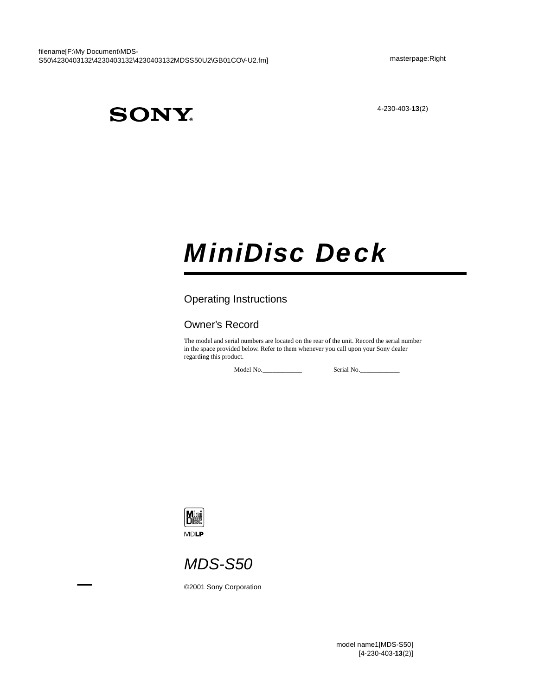4-230-403-**13**(2)

## **SONY**

# *MiniDisc Deck*

## Operating Instructions

## Owner's Record

The model and serial numbers are located on the rear of the unit. Record the serial number in the space provided below. Refer to them whenever you call upon your Sony dealer regarding this product.

Model No.\_\_\_\_\_\_\_\_\_\_\_\_ Serial No.\_\_\_\_\_\_\_\_\_\_\_\_





©2001 Sony Corporation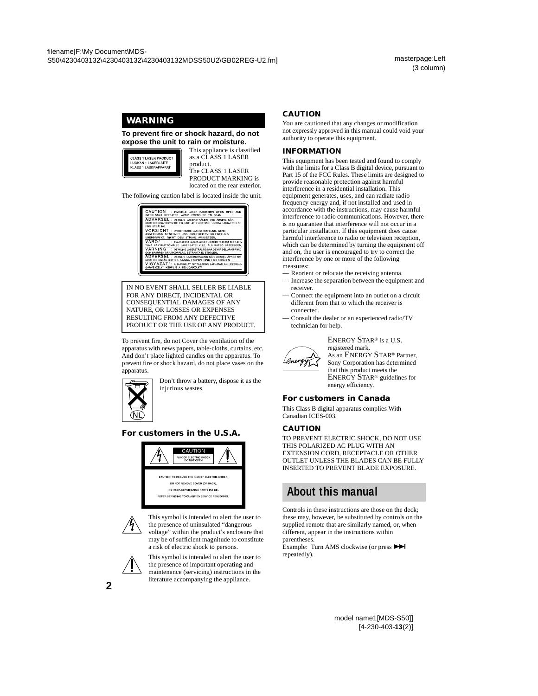## **WARNING**

#### **To prevent fire or shock hazard, do not expose the unit to rain or moisture.**



This appliance is classified as a CLASS 1 LASER product. The CLASS 1 LASER PRODUCT MARKING is located on the rear exterior.

The following caution label is located inside the unit.



IN NO EVENT SHALL SELLER BE LIABLE FOR ANY DIRECT, INCIDENTAL OR CONSEQUENTIAL DAMAGES OF ANY NATURE, OR LOSSES OR EXPENSES RESULTING FROM ANY DEFECTIVE PRODUCT OR THE USE OF ANY PRODUCT.

To prevent fire, do not Cover the ventilation of the apparatus with news papers, table-cloths, curtains, etc. And don't place lighted candles on the apparatus. To prevent fire or shock hazard, do not place vases on the apparatus.



Don't throw a battery, dispose it as the injurious wastes.

## **For customers in the U.S.A.**





This symbol is intended to alert the user to the presence of uninsulated "dangerous voltage" within the product's enclosure that may be of sufficient magnitude to constitute a risk of electric shock to persons.



This symbol is intended to alert the user to the presence of important operating and maintenance (servicing) instructions in the literature accompanying the appliance.

#### **CAUTION**

You are cautioned that any changes or modification not expressly approved in this manual could void your authority to operate this equipment.

#### **INFORMATION**

This equipment has been tested and found to comply with the limits for a Class B digital device, pursuant to Part 15 of the FCC Rules. These limits are designed to provide reasonable protection against harmful interference in a residential installation. This equipment generates, uses, and can radiate radio frequency energy and, if not installed and used in accordance with the instructions, may cause harmful interference to radio communications. However, there is no guarantee that interference will not occur in a particular installation. If this equipment does cause harmful interference to radio or television reception. which can be determined by turning the equipment off and on, the user is encouraged to try to correct the interference by one or more of the following measures:

- Reorient or relocate the receiving antenna.
- Increase the separation between the equipment and receiver.
- Connect the equipment into an outlet on a circuit different from that to which the receiver is connected.
- Consult the dealer or an experienced radio/TV technician for help.



ENERGY STAR<sup>®</sup> is a U.S. registered mark.

As an ENERGY STAR® Partner, Sony Corporation has determined that this product meets the ENERGY STAR® guidelines for energy efficiency.

#### **For customers in Canada**

This Class B digital apparatus complies With Canadian ICES-003.

#### **CAUTION**

TO PREVENT ELECTRIC SHOCK, DO NOT USE THIS POLARIZED AC PLUG WITH AN EXTENSION CORD, RECEPTACLE OR OTHER OUTLET UNLESS THE BLADES CAN BE FULLY INSERTED TO PREVENT BLADE EXPOSURE.

## **About this manual**

Controls in these instructions are those on the deck; these may, however, be substituted by controls on the supplied remote that are similarly named, or, when different, appear in the instructions within parentheses.

Example: Turn AMS clockwise (or press  $\blacktriangleright$ repeatedly).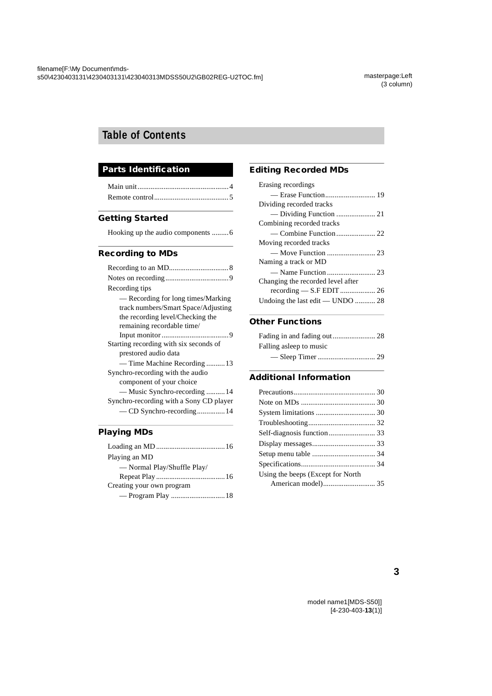## **Table of Contents**

## **[Parts Identification](#page-3-0)**

## **[Getting Started](#page-5-0)**

[Hooking up the audio components .........6](#page-5-0)

## **[Recording to MDs](#page-7-0)**

| Recording tips                          |
|-----------------------------------------|
| — Recording for long times/Marking      |
| track numbers/Smart Space/Adjusting     |
| the recording level/Checking the        |
| remaining recordable time/              |
|                                         |
| Starting recording with six seconds of  |
| prestored audio data                    |
| — Time Machine Recording  13            |
| Synchro-recording with the audio        |
| component of your choice                |
| — Music Synchro-recording 14            |
| Synchro-recording with a Sony CD player |
| — CD Synchro-recording14                |

## **[Playing MDs](#page-15-0)**

| Playing an MD               |
|-----------------------------|
| - Normal Play/Shuffle Play/ |
|                             |
| Creating your own program   |
|                             |

## **[Editing Recorded MDs](#page-18-0)**

| Erasing recordings                 |
|------------------------------------|
|                                    |
| Dividing recorded tracks           |
|                                    |
| Combining recorded tracks          |
|                                    |
| Moving recorded tracks             |
|                                    |
| Naming a track or MD               |
|                                    |
| Changing the recorded level after  |
| $recording - S.F EDITION \dots 26$ |
| Undoing the last edit — UNDO  28   |
|                                    |

## **[Other Functions](#page-27-0)**

| Falling as leep to music |  |
|--------------------------|--|
|                          |  |

## **[Additional Information](#page-29-0)**

| Using the beeps (Except for North |  |
|-----------------------------------|--|
|                                   |  |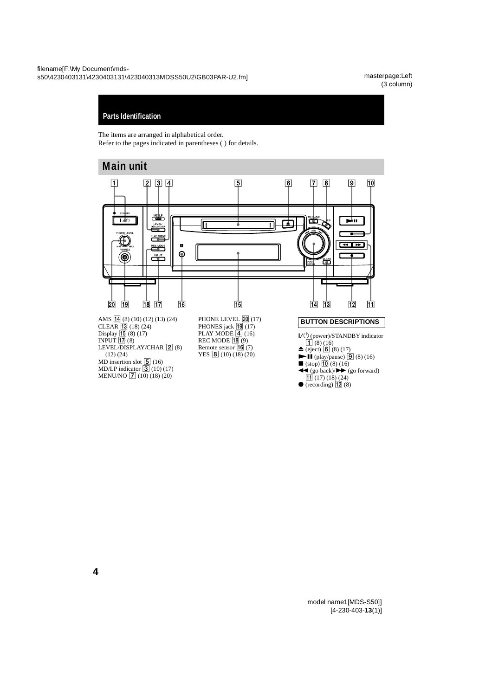## <span id="page-3-0"></span>**Parts Identification**

The items are arranged in alphabetical order. Refer to the pages indicated in parentheses ( ) for details.



 $\bullet$  (recording)  $\boxed{12}$  [\(8\)](#page-7-0)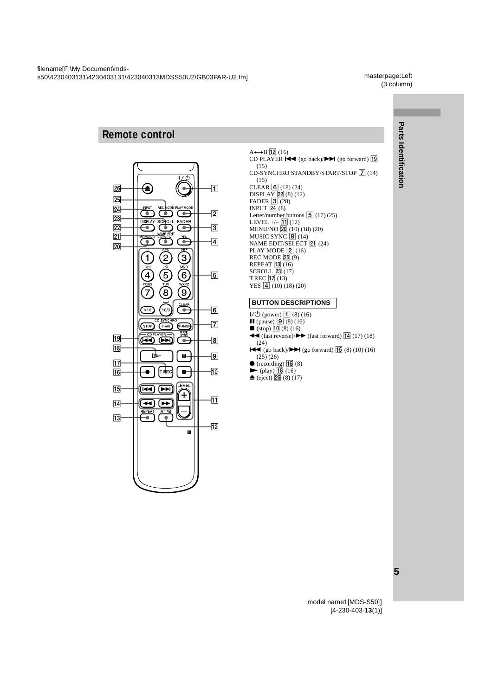## <span id="page-4-0"></span>**Remote control**



 $A \rightarrow B$  12 [\(16\)](#page-15-0) CD PLAYER  $\overline{\mathsf{H}}$  (go back)/ $\blacktriangleright$  (go forward)  $\overline{\mathsf{19}}$ [\(15\)](#page-14-0) CD-SYNCHRO STANDBY/START/STOP 7 [\(14\)](#page-13-0) [\(15\)](#page-14-0)  $CLEAR ~~6~~ (18) (24)$  $CLEAR ~~6~~ (18) (24)$  $CLEAR ~~6~~ (18) (24)$  $CLEAR ~~6~~ (18) (24)$  $DISPLAY$   $22$   $(8)$   $(12)$ FADER  $\boxed{3}$  [\(28\)](#page-27-0) INPUT  $\overline{24}(8)$  $\overline{24}(8)$ Letter/number buttons  $\overline{5}$  [\(17\)](#page-16-0) [\(25\)](#page-24-0) LEVEL  $+/-$  11 [\(12\)](#page-11-0) MENU/NO  $\overline{20}$  [\(10\)](#page-9-0) [\(18\)](#page-17-0) [\(20\)](#page-19-0) MUSIC SYNC  $\overline{8}$  [\(14\)](#page-13-0) NAME EDIT/SELECT 21 [\(24\)](#page-23-0) PLAY MODE  $\boxed{2}$  [\(16\)](#page-15-0) REC MODE  $\overline{25}(9)$  $\overline{25}(9)$ REPEAT  $\overline{13}$   $\overline{(16)}$  $\overline{(16)}$  $\overline{(16)}$  $SCROLL$   $\overline{23}$  [\(17\)](#page-16-0) T.REC  $\overline{17}$  [\(13\)](#page-12-0)

**BUTTON DESCRIPTIONS**

- $\mathsf{I}/\mathsf{U}$  (power)  $\boxed{\mathsf{1}}$  [\(8\)](#page-7-0) [\(16\)](#page-15-0)
- **II** (pause)  $\boxed{9}$  [\(8\)](#page-7-0) [\(16\)](#page-15-0)

YES  $\overline{4}(10)(18)(20)$  $\overline{4}(10)(18)(20)$  $\overline{4}(10)(18)(20)$ 

- $\bullet$  (stop)  $\overline{10}$  [\(8\)](#page-7-0) [\(16\)](#page-15-0)
- $\blacktriangleleft$  (fast reverse)/ $\blacktriangleright$  (fast forward)  $\boxed{14}$  [\(17\)](#page-16-0) [\(18\)](#page-17-0) [\(24\)](#page-23-0)
- $\blacktriangleleft$  (go back)/ $\blacktriangleright$  (go forward)  $\boxed{15}$  [\(8\)](#page-7-0) [\(10\)](#page-9-0) [\(16\)](#page-15-0) [\(25\)](#page-24-0) [\(26\)](#page-25-0)
- $\bullet$  (recording)  $\overline{16}$  [\(8\)](#page-7-0)
- $\blacktriangleright$  (play)  $\overline{18}$  [\(16\)](#page-15-0)
- $\triangle$  (eject)  $\boxed{26}$  [\(8\)](#page-7-0) [\(17\)](#page-16-0)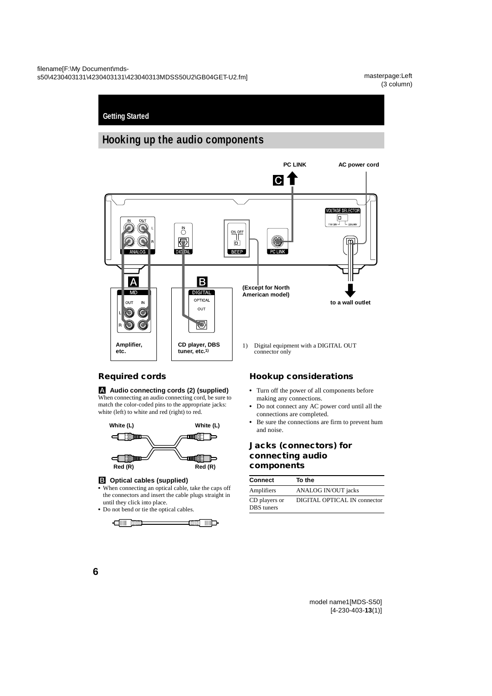## <span id="page-5-0"></span>**Hooking up the audio components**



## **Required cords**

#### A **Audio connecting cords (2) (supplied)**

When connecting an audio connecting cord, be sure to match the color-coded pins to the appropriate jacks: white (left) to white and red (right) to red.



#### B **Optical cables (supplied)**

- **•** When connecting an optical cable, take the caps off the connectors and insert the cable plugs straight in until they click into place.
- **•** Do not bend or tie the optical cables.



## **Hookup considerations**

- **•** Turn off the power of all components before making any connections.
- **•** Do not connect any AC power cord until all the connections are completed.
- **•** Be sure the connections are firm to prevent hum and noise.

### **Jacks (connectors) for connecting audio components**

| Connect                     | To the                       |
|-----------------------------|------------------------------|
| Amplifiers                  | ANALOG IN/OUT jacks          |
| CD players or<br>DBS tuners | DIGITAL OPTICAL IN connector |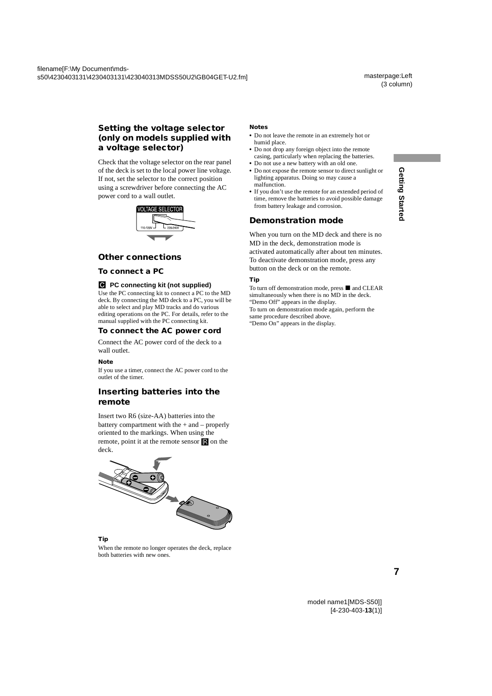## <span id="page-6-0"></span>**Setting the voltage selector (only on models supplied with a voltage selector)**

Check that the voltage selector on the rear panel of the deck is set to the local power line voltage. If not, set the selector to the correct position using a screwdriver before connecting the AC power cord to a wall outlet.



## **Other connections**

### **To connect a PC**

#### C **PC connecting kit (not supplied)**

Use the PC connecting kit to connect a PC to the MD deck. By connecting the MD deck to a PC, you will be able to select and play MD tracks and do various editing operations on the PC. For details, refer to the manual supplied with the PC connecting kit.

#### **To connect the AC power cord**

Connect the AC power cord of the deck to a wall outlet.

#### **Note**

If you use a timer, connect the AC power cord to the outlet of the timer.

### **Inserting batteries into the remote**

Insert two R6 (size-AA) batteries into the battery compartment with the + and – properly oriented to the markings. When using the remote, point it at the remote sensor  $\blacksquare$  on the deck.



#### **Tip**

When the remote no longer operates the deck, replace both batteries with new ones.

#### **Notes**

- **•** Do not leave the remote in an extremely hot or humid place.
- Do not drop any foreign object into the remote casing, particularly when replacing the batteries.
- Do not use a new battery with an old one.
- **•** Do not expose the remote sensor to direct sunlight or lighting apparatus. Doing so may cause a malfunction.
- **•** If you don't use the remote for an extended period of time, remove the batteries to avoid possible damage from battery leakage and corrosion.

## **Demonstration mode**

When you turn on the MD deck and there is no MD in the deck, demonstration mode is activated automatically after about ten minutes. To deactivate demonstration mode, press any button on the deck or on the remote.

#### **Tip**

To turn off demonstration mode, press  $\blacksquare$  and CLEAR simultaneously when there is no MD in the deck. "Demo Off" appears in the display. To turn on demonstration mode again, perform the same procedure described above.

"Demo On" appears in the display.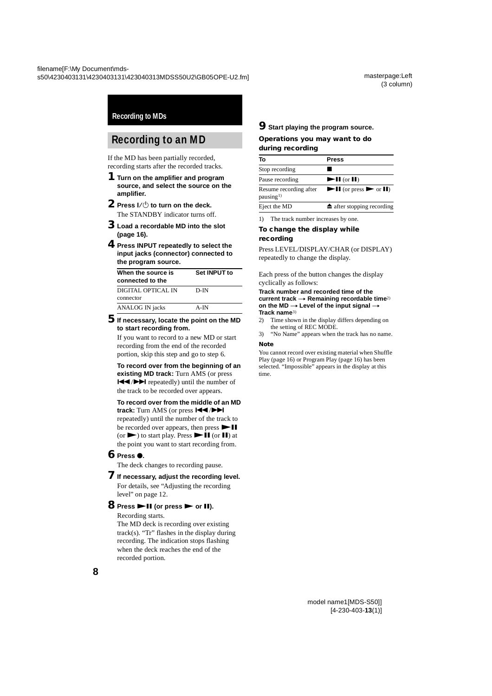## <span id="page-7-0"></span>**Recording to an MD**

If the MD has been partially recorded, recording starts after the recorded tracks.

- **1 Turn on the amplifier and program source, and select the source on the amplifier.**
- **2** Press  $I/(1)$  to turn on the deck. The STANDBY indicator turns off.
- **3 Load a recordable MD into the slot [\(page 16\)](#page-15-0).**
- **4 Press INPUT repeatedly to select the input jacks (connector) connected to the program source.**

| When the source is<br>connected to the | Set INPUT to |
|----------------------------------------|--------------|
| DIGITAL OPTICAL IN                     | D-IN         |
| connector                              |              |
| ANALOG IN jacks                        | A-IN         |

#### **5 If necessary, locate the point on the MD to start recording from.**

If you want to record to a new MD or start recording from the end of the recorded portion, skip this step and go to step 6.

**To record over from the beginning of an existing MD track:** Turn AMS (or press  $\blacktriangleleft$  / $\blacktriangleright$  repeatedly) until the number of the track to be recorded over appears.

**To record over from the middle of an MD** track: Turn AMS (or press  $\blacktriangleright$  />> repeatedly) until the number of the track to be recorded over appears, then press  $\blacktriangleright$ (or  $\blacktriangleright$ ) to start play. Press  $\blacktriangleright$  **II** (or **II**) at the point you want to start recording from.

## **6 Press** <sup>z</sup>**.**

The deck changes to recording pause.

#### **7 If necessary, adjust the recording level.**

For details, [see "Adjusting the recording](#page-11-0) [level" on page 12.](#page-11-0)

#### **8** Press  $\blacktriangleright$  **II** (or press  $\blacktriangleright$  or **II**).

Recording starts.

The MD deck is recording over existing track(s). "Tr" flashes in the display during recording. The indication stops flashing when the deck reaches the end of the recorded portion.

## **9 Start playing the program source.**

#### **Operations you may want to do during recording**

| To                                              | <b>Press</b>                                                    |
|-------------------------------------------------|-----------------------------------------------------------------|
| Stop recording                                  |                                                                 |
| Pause recording                                 | $\blacktriangleright$ II (or II)                                |
| Resume recording after<br>pausing <sup>1)</sup> | $\blacktriangleright$ II (or press $\blacktriangleright$ or II) |
| Eject the MD                                    | $\triangleq$ after stopping recording                           |

1) The track number increases by one.

#### **To change the display while recording**

Press LEVEL/DISPLAY/CHAR (or DISPLAY) repeatedly to change the display.

Each press of the button changes the display cyclically as follows:

**Track number and recorded time of the current track → Remaining recordable time**<sup>2)</sup> on the MD  $\rightarrow$  Level of the input signal  $\rightarrow$ **Track name**3)

- 2) Time shown in the display differs depending on the setting of REC MODE.
- 3) "No Name" appears when the track has no name.

#### **Note**

You cannot record over existing material when Shuffle Play [\(page 16\)](#page-15-0) or Program Play [\(page 16\)](#page-15-0) has been selected. "Impossible" appears in the display at this time.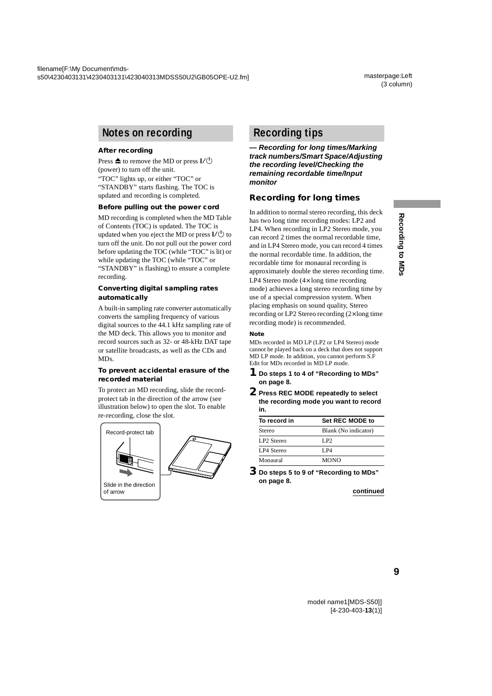## <span id="page-8-0"></span>**Notes on recording**

#### **After recording**

Press  $\triangleq$  to remove the MD or press  $I/(1)$ (power) to turn off the unit. "TOC" lights up, or either "TOC" or "STANDBY" starts flashing. The TOC is updated and recording is completed.

#### **Before pulling out the power cord**

MD recording is completed when the MD Table of Contents (TOC) is updated. The TOC is updated when you eject the MD or press  $\mathsf{I}/\mathsf{U}$  to turn off the unit. Do not pull out the power cord before updating the TOC (while "TOC" is lit) or while updating the TOC (while "TOC" or "STANDBY" is flashing) to ensure a complete recording.

#### **Converting digital sampling rates automatically**

A built-in sampling rate converter automatically converts the sampling frequency of various digital sources to the 44.1 kHz sampling rate of the MD deck. This allows you to monitor and record sources such as 32- or 48-kHz DAT tape or satellite broadcasts, as well as the CDs and MDs.

#### **To prevent accidental erasure of the recorded material**

To protect an MD recording, slide the recordprotect tab in the direction of the arrow (see illustration below) to open the slot. To enable re-recording, close the slot.



## **Recording tips**

**— Recording for long times/Marking track numbers/Smart Space/Adjusting the recording level/Checking the remaining recordable time/Input monitor**

## **Recording for long times**

In addition to normal stereo recording, this deck has two long time recording modes: LP2 and LP4. When recording in LP2 Stereo mode, you can record 2 times the normal recordable time, and in LP4 Stereo mode, you can record 4 times the normal recordable time. In addition, the recordable time for monaural recording is approximately double the stereo recording time. LP4 Stereo mode (4× long time recording mode) achieves a long stereo recording time by use of a special compression system. When placing emphasis on sound quality, Stereo recording or LP2 Stereo recording (2× long time recording mode) is recommended.

#### **Note**

MDs recorded in MD LP (LP2 or LP4 Stereo) mode cannot be played back on a deck that does not support MD LP mode. In addition, you cannot perform S.F Edit for MDs recorded in MD LP mode.

- **1 Do steps 1 to 4 of ["Recording to MDs"](#page-7-0) [on page 8](#page-7-0).**
- **2 Press REC MODE repeatedly to select the recording mode you want to record in.**

| To record in      | Set REC MODE to      |
|-------------------|----------------------|
| Stereo            | Blank (No indicator) |
| <b>LP2</b> Stereo | LP <sub>2</sub>      |
| LP4 Stereo        | I P4                 |
| Monaural          | <b>MONO</b>          |

**3 Do steps 5 to 9 of ["Recording to MDs"](#page-7-0) [on page 8](#page-7-0).**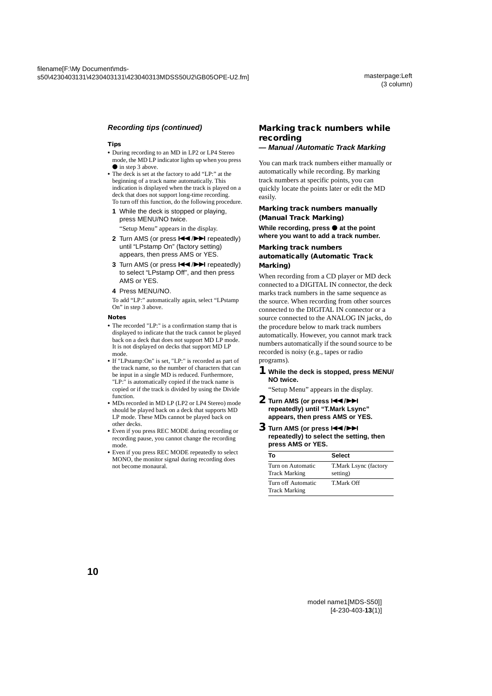### <span id="page-9-0"></span>**Recording tips (continued)**

#### **Tips**

- **•** During recording to an MD in LP2 or LP4 Stereo mode, the MD LP indicator lights up when you press  $\bullet$  in step 3 above.
- **•** The deck is set at the factory to add "LP:" at the beginning of a track name automatically. This indication is displayed when the track is played on a deck that does not support long-time recording. To turn off this function, do the following procedure.
	- **1** While the deck is stopped or playing, press MENU/NO twice. "Setup Menu" appears in the display.
	- **2** Turn AMS (or press  $\leftarrow$  />>I repeatedly) until "LPstamp On" (factory setting) appears, then press AMS or YES.
	- **3** Turn AMS (or press  $\leftarrow$  />>I repeatedly) to select "LPstamp Off", and then press AMS or YES.
	- **4** Press MENU/NO.

To add "LP:" automatically again, select "LPstamp On" in step 3 above.

#### **Notes**

- **•** The recorded "LP:" is a confirmation stamp that is displayed to indicate that the track cannot be played back on a deck that does not support MD LP mode. It is not displayed on decks that support MD LP mode.
- **•** If "LPstamp:On" is set, "LP:" is recorded as part of the track name, so the number of characters that can be input in a single MD is reduced. Furthermore, "LP:" is automatically copied if the track name is copied or if the track is divided by using the Divide function.
- **•** MDs recorded in MD LP (LP2 or LP4 Stereo) mode should be played back on a deck that supports MD LP mode. These MDs cannot be played back on other decks.
- **•** Even if you press REC MODE during recording or recording pause, you cannot change the recording mode.
- **•** Even if you press REC MODE repeatedly to select MONO, the monitor signal during recording does not become monaural.

## **Marking track numbers while recording**

### **— Manual /Automatic Track Marking**

You can mark track numbers either manually or automatically while recording. By marking track numbers at specific points, you can quickly locate the points later or edit the MD easily.

#### **Marking track numbers manually (Manual Track Marking) While recording, press**  $\bullet$  **at the point where you want to add a track number.**

### **Marking track numbers automatically (Automatic Track Marking)**

When recording from a CD player or MD deck connected to a DIGITAL IN connector, the deck marks track numbers in the same sequence as the source. When recording from other sources connected to the DIGITAL IN connector or a source connected to the ANALOG IN jacks, do the procedure below to mark track numbers automatically. However, you cannot mark track numbers automatically if the sound source to be recorded is noisy (e.g., tapes or radio programs).

**1 While the deck is stopped, press MENU/ NO twice.**

"Setup Menu" appears in the display.

**2** Turn AMS (or press  $\leftarrow$  /**>> repeatedly) until "T.Mark Lsync" appears, then press AMS or YES.**

#### **3** Turn AMS (or press  $\leftarrow$  />> **repeatedly) to select the setting, then press AMS or YES.**

| Т٥                                         | <b>Select</b>                     |
|--------------------------------------------|-----------------------------------|
| Turn on Automatic<br><b>Track Marking</b>  | T.Mark Lsync (factory<br>setting) |
| Turn off Automatic<br><b>Track Marking</b> | T.Mark Off                        |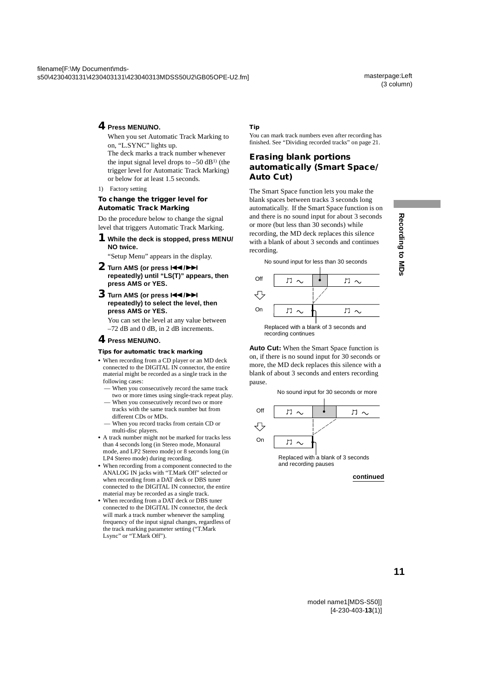## <span id="page-10-0"></span>**4 Press MENU/NO.**

When you set Automatic Track Marking to on, "L.SYNC" lights up.

The deck marks a track number whenever the input signal level drops to  $-50$  dB<sup>1)</sup> (the trigger level for Automatic Track Marking) or below for at least 1.5 seconds.

1) Factory setting

#### **To change the trigger level for Automatic Track Marking**

Do the procedure below to change the signal level that triggers Automatic Track Marking.

**1 While the deck is stopped, press MENU/ NO twice.**

"Setup Menu" appears in the display.

- **2** Turn AMS (or press  $\leftarrow$  />> **repeatedly) until "LS(T)" appears, then press AMS or YES.**
- **3** Turn AMS (or press  $\leftarrow$  />> **repeatedly) to select the level, then press AMS or YES.**

You can set the level at any value between –72 dB and 0 dB, in 2 dB increments.

## **4 Press MENU/NO.**

#### **Tips for automatic track marking**

- **•** When recording from a CD player or an MD deck connected to the DIGITAL IN connector, the entire material might be recorded as a single track in the following cases:
	- When you consecutively record the same track two or more times using single-track repeat play.
	- When you consecutively record two or more tracks with the same track number but from different CDs or MDs.
	- When you record tracks from certain CD or multi-disc players.
- **•** A track number might not be marked for tracks less than 4 seconds long (in Stereo mode, Monaural mode, and LP2 Stereo mode) or 8 seconds long (in LP4 Stereo mode) during recording.
- **•** When recording from a component connected to the ANALOG IN jacks with "T.Mark Off" selected or when recording from a DAT deck or DBS tuner connected to the DIGITAL IN connector, the entire material may be recorded as a single track.
- **•** When recording from a DAT deck or DBS tuner connected to the DIGITAL IN connector, the deck will mark a track number whenever the sampling frequency of the input signal changes, regardless of the track marking parameter setting ("T.Mark Lsync" or "T.Mark Off").

#### **Tip**

You can mark track numbers even after recording has finished. See ["Dividing recorded tracks"](#page-20-0) on page 21.

## **Erasing blank portions automatically (Smart Space/ Auto Cut)**

The Smart Space function lets you make the blank spaces between tracks 3 seconds long automatically. If the Smart Space function is on and there is no sound input for about 3 seconds or more (but less than 30 seconds) while recording, the MD deck replaces this silence with a blank of about 3 seconds and continues recording.

No sound input for less than 30 seconds



Replaced with a blank of 3 seconds and recording continues

**Auto Cut:** When the Smart Space function is on, if there is no sound input for 30 seconds or more, the MD deck replaces this silence with a blank of about 3 seconds and enters recording pause.

No sound input for 30 seconds or more



Replaced with a blank of 3 seconds and recording pauses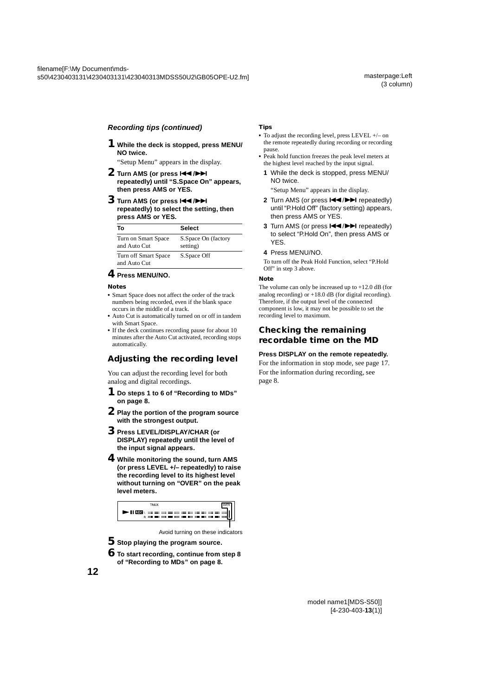### <span id="page-11-0"></span>**Recording tips (continued)**

**1 While the deck is stopped, press MENU/ NO twice.**

"Setup Menu" appears in the display.

- **2** Turn AMS (or press  $\left|\frac{4}{\sqrt{2}}\right|$ **repeatedly) until "S.Space On" appears, then press AMS or YES.**
- **3** Turn AMS (or press  $\left|\frac{4}{\left|\mathbf{a}\right|}\right|$ **repeatedly) to select the setting, then press AMS or YES.**

| Т٥                                   | <b>Select</b>                   |
|--------------------------------------|---------------------------------|
| Turn on Smart Space<br>and Auto Cut  | S.Space On (factory<br>setting) |
| Turn off Smart Space<br>and Auto Cut | S.Space Off                     |

## **4 Press MENU/NO.**

#### **Notes**

- **•** Smart Space does not affect the order of the track numbers being recorded, even if the blank space occurs in the middle of a track.
- **•** Auto Cut is automatically turned on or off in tandem with Smart Space.
- If the deck continues recording pause for about 10 minutes after the Auto Cut activated, recording stops automatically.

## **Adjusting the recording level**

You can adjust the recording level for both analog and digital recordings.

- **1 Do steps 1 to 6 of ["Recording to MDs"](#page-7-0) [on page 8](#page-7-0).**
- **2 Play the portion of the program source with the strongest output.**
- **3 Press LEVEL/DISPLAY/CHAR (or DISPLAY) repeatedly until the level of the input signal appears.**
- **4 While monitoring the sound, turn AMS (or press LEVEL +/– repeatedly) to raise the recording level to its highest level without turning on "OVER" on the peak level meters.**



Avoid turning on these indicators

- **5 Stop playing the program source.**
- **6 To start recording, continue from step 8 of ["Recording to MDs"](#page-7-0) on page 8.**

#### **Tips**

- **•** To adjust the recording level, press LEVEL +/– on the remote repeatedly during recording or recording pause.
- **•** Peak hold function freezes the peak level meters at the highest level reached by the input signal.
	- **1** While the deck is stopped, press MENU/ NO twice.

"Setup Menu" appears in the display.

- **2** Turn AMS (or press  $I \blacktriangleleft / I \blacktriangleright I$  repeatedly) until "P.Hold Off" (factory setting) appears, then press AMS or YES.
- **3** Turn AMS (or press  $I \blacktriangleleft / I \blacktriangleright I$  repeatedly) to select "P.Hold On", then press AMS or YES.
- **4** Press MENU/NO.

To turn off the Peak Hold Function, select "P.Hold Off" in step 3 above.

#### **Note**

The volume can only be increased up to  $+12.0$  dB (for analog recording) or  $+18.0$  dB (for digital recording). Therefore, if the output level of the connected component is low, it may not be possible to set the recording level to maximum.

## **Checking the remaining recordable time on the MD**

#### **Press DISPLAY on the remote repeatedly.**

For the information in stop mode, see [page 17](#page-16-0). For the information during recording, see [page 8](#page-7-0).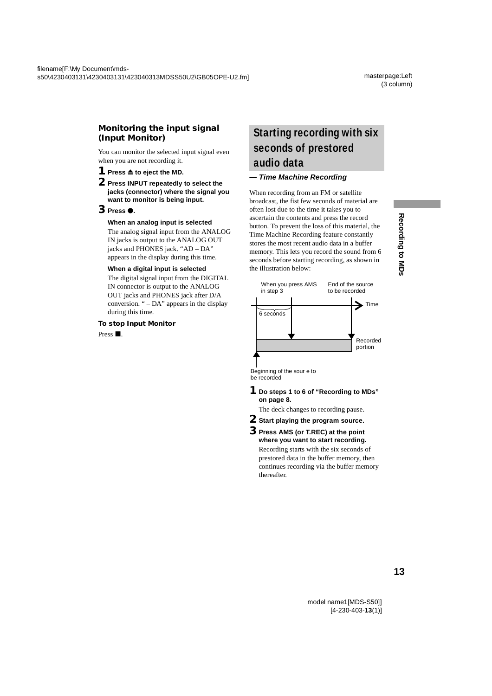## <span id="page-12-0"></span>**Monitoring the input signal (Input Monitor)**

You can monitor the selected input signal even when you are not recording it.

- **1** Press ≜ to eject the MD.
- **2 Press INPUT repeatedly to select the jacks (connector) where the signal you want to monitor is being input.**

## **3 Press** <sup>z</sup>**.**

### **When an analog input is selected**

The analog signal input from the ANALOG IN jacks is output to the ANALOG OUT jacks and PHONES jack. "AD – DA" appears in the display during this time.

### **When a digital input is selected**

The digital signal input from the DIGITAL IN connector is output to the ANALOG OUT jacks and PHONES jack after D/A conversion. " – DA" appears in the display during this time.

### **To stop Input Monitor**

Press  $\blacksquare$ .

## **Starting recording with six seconds of prestored audio data**

## **— Time Machine Recording**

When recording from an FM or satellite broadcast, the fist few seconds of material are often lost due to the time it takes you to ascertain the contents and press the record button. To prevent the loss of this material, the Time Machine Recording feature constantly stores the most recent audio data in a buffer memory. This lets you record the sound from 6 seconds before starting recording, as shown in the illustration below:



be recorded

### **1 Do steps 1 to 6 of ["Recording to MDs"](#page-7-0) [on page 8](#page-7-0).**

The deck changes to recording pause.

- **2 Start playing the program source.**
- **3 Press AMS (or T.REC) at the point where you want to start recording.**

Recording starts with the six seconds of prestored data in the buffer memory, then continues recording via the buffer memory thereafter.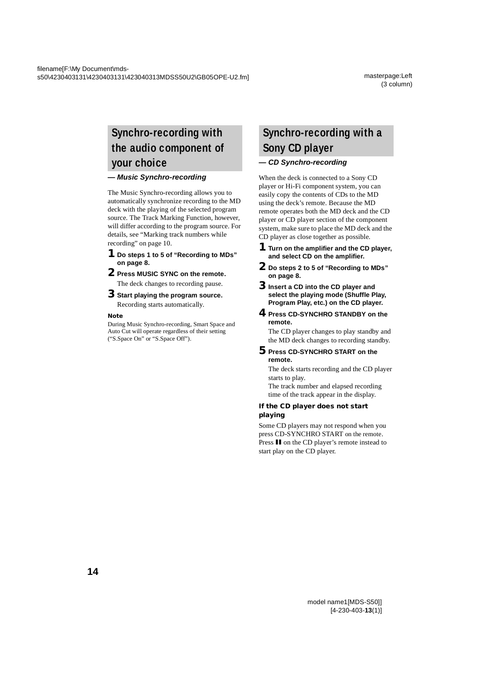## <span id="page-13-0"></span>**Synchro-recording with the audio component of your choice**

#### **— Music Synchro-recording**

The Music Synchro-recording allows you to automatically synchronize recording to the MD deck with the playing of the selected program source. The Track Marking Function, however, will differ according to the program source. For details, see ["Marking track numbers while](#page-9-0) recording" [on page 10.](#page-9-0)

- **1 Do steps 1 to 5 of ["Recording to MDs"](#page-7-0) [on page 8](#page-7-0).**
- **2 Press MUSIC SYNC on the remote.**

The deck changes to recording pause.

**3 Start playing the program source.** Recording starts automatically.

#### **Note**

During Music Synchro-recording, Smart Space and Auto Cut will operate regardless of their setting ("S.Space On" or "S.Space Off").

## **Synchro-recording with a Sony CD player**

### **— CD Synchro-recording**

When the deck is connected to a Sony CD player or Hi-Fi component system, you can easily copy the contents of CDs to the MD using the deck's remote. Because the MD remote operates both the MD deck and the CD player or CD player section of the component system, make sure to place the MD deck and the CD player as close together as possible.

- **1 Turn on the amplifier and the CD player, and select CD on the amplifier.**
- **2 Do steps 2 to 5 of ["Recording to MDs"](#page-7-0) [on page 8](#page-7-0).**
- **3 Insert a CD into the CD player and select the playing mode (Shuffle Play, Program Play, etc.) on the CD player.**
- **4 Press CD-SYNCHRO STANDBY on the remote.**

The CD player changes to play standby and the MD deck changes to recording standby.

#### **5 Press CD-SYNCHRO START on the remote.**

The deck starts recording and the CD player starts to play.

The track number and elapsed recording time of the track appear in the display.

#### **If the CD player does not start playing**

Some CD players may not respond when you press CD-SYNCHRO START on the remote. Press II on the CD player's remote instead to start play on the CD player.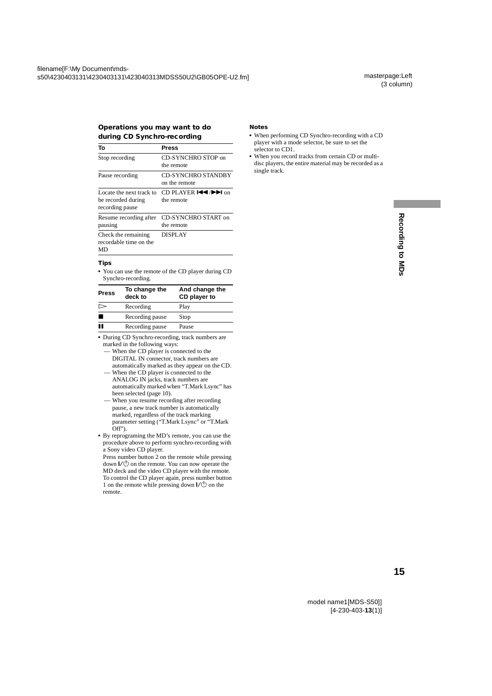#### <span id="page-14-0"></span>**Operations you may want to do during CD Synchro-recording**

| Т٥                                                                | <b>Press</b>                                                              |
|-------------------------------------------------------------------|---------------------------------------------------------------------------|
| Stop recording                                                    | CD-SYNCHRO STOP on<br>the remote                                          |
| Pause recording                                                   | <b>CD-SYNCHRO STANDBY</b><br>on the remote                                |
| Locate the next track to<br>be recorded during<br>recording pause | $CD$ PLAYER $\blacktriangleleft$ / $\blacktriangleright$ on<br>the remote |
| Resume recording after<br>pausing                                 | CD-SYNCHRO START on<br>the remote                                         |
| Check the remaining<br>recordable time on the<br>МĐ               | <b>DISPLAY</b>                                                            |

#### **Tips**

**•** You can use the remote of the CD player during CD Synchro-recording.

| <b>Press</b> | To change the<br>deck to | And change the<br>CD player to |
|--------------|--------------------------|--------------------------------|
|              | Recording                | Play                           |
|              | Recording pause          | Stop                           |
|              | Recording pause          | Pause                          |

- **•** During CD Synchro-recording, track numbers are marked in the following ways:
	- When the CD player is connected to the DIGITAL IN connector, track numbers are automatically marked as they appear on the CD.
	- When the CD player is connected to the ANALOG IN jacks, track numbers are automatically marked when "T.Mark Lsync" has been selected [\(page 10\)](#page-9-0).
	- When you resume recording after recording pause, a new track number is automatically marked, regardless of the track marking parameter setting ("T.Mark Lsync" or "T.Mark Off").
- **•** By reprograming the MD's remote, you can use the procedure above to perform synchro-recording with a Sony video CD player.

Press number button 2 on the remote while pressing down  $\mathsf{I}/\mathsf{U}$  on the remote. You can now operate the MD deck and the video CD player with the remote. To control the CD player again, press number button 1 on the remote while pressing down  $\mathsf{I}\mathsf{I}\langle\mathsf{I}\rangle$  on the remote.

#### **Notes**

- **•** When performing CD Synchro-recording with a CD player with a mode selector, be sure to set the selector to CD1.
- **•** When you record tracks from certain CD or multidisc players, the entire material may be recorded as a single track.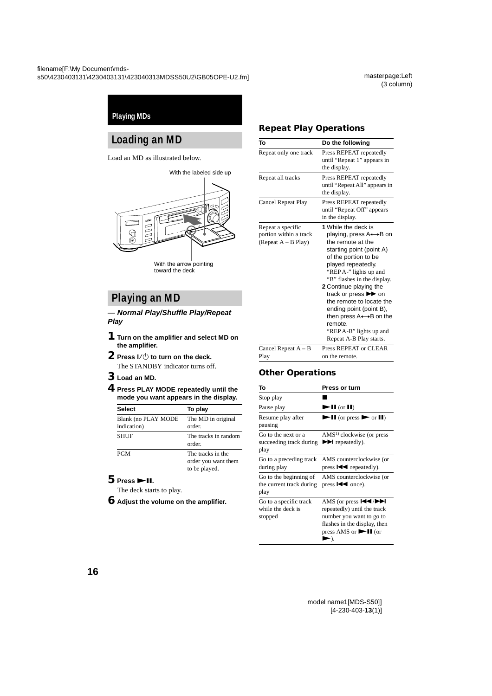## <span id="page-15-0"></span>**Loading an MD**

Load an MD as illustrated below.

With the labeled side up



With the arrow pointing toward the deck

## **Playing an MD**

#### **— Normal Play/Shuffle Play/Repeat Play**

- **1 Turn on the amplifier and select MD on the amplifier.**
- **2** Press I/ $\cup$  to turn on the deck. The STANDBY indicator turns off.
- **3 Load an MD.**
- **4 Press PLAY MODE repeatedly until the mode you want appears in the display.**

| <b>Select</b>                             | To play                                                   |
|-------------------------------------------|-----------------------------------------------------------|
| <b>Blank (no PLAY MODE</b><br>indication) | The MD in original<br>order.                              |
| <b>SHUF</b>                               | The tracks in random<br>order.                            |
| <b>PGM</b>                                | The tracks in the<br>order you want them<br>to be played. |

## **5** Press  $\blacktriangleright$  **II.**

The deck starts to play.

**6 Adjust the volume on the amplifier.**

## **Repeat Play Operations**

| To                                                                   | Do the following                                                                                                                                                                                                                                                                                                                                                                                          |
|----------------------------------------------------------------------|-----------------------------------------------------------------------------------------------------------------------------------------------------------------------------------------------------------------------------------------------------------------------------------------------------------------------------------------------------------------------------------------------------------|
| Repeat only one track                                                | Press REPEAT repeatedly<br>until "Repeat 1" appears in<br>the display.                                                                                                                                                                                                                                                                                                                                    |
| Repeat all tracks                                                    | Press REPEAT repeatedly<br>until "Repeat All" appears in<br>the display.                                                                                                                                                                                                                                                                                                                                  |
| Cancel Repeat Play                                                   | Press REPEAT repeatedly<br>until "Repeat Off" appears<br>in the display.                                                                                                                                                                                                                                                                                                                                  |
| Repeat a specific<br>portion within a track<br>(Repeat $A - B$ Play) | 1 While the deck is<br>playing, press A←→B on<br>the remote at the<br>starting point (point A)<br>of the portion to be<br>played repeatedly.<br>"REP A-" lights up and<br>"B" flashes in the display.<br>2 Continue playing the<br>track or press >> on<br>the remote to locate the<br>ending point (point B),<br>then press A←→B on the<br>remote.<br>"REP A-B" lights up and<br>Repeat A-B Play starts. |
| Cancel Repeat $A - B$<br>Play                                        | Press REPEAT or CLEAR<br>on the remote.                                                                                                                                                                                                                                                                                                                                                                   |

## **Other Operations**

| То                                                         | Press or turn                                                                                                                                                                                                                                                                                                                                                                                                                                                                                                                                                                                                                                                                                                                                            |
|------------------------------------------------------------|----------------------------------------------------------------------------------------------------------------------------------------------------------------------------------------------------------------------------------------------------------------------------------------------------------------------------------------------------------------------------------------------------------------------------------------------------------------------------------------------------------------------------------------------------------------------------------------------------------------------------------------------------------------------------------------------------------------------------------------------------------|
| Stop play                                                  |                                                                                                                                                                                                                                                                                                                                                                                                                                                                                                                                                                                                                                                                                                                                                          |
| Pause play                                                 | $\blacktriangleright$ II (or II)                                                                                                                                                                                                                                                                                                                                                                                                                                                                                                                                                                                                                                                                                                                         |
| Resume play after<br>pausing                               | $\blacktriangleright$ II (or press $\blacktriangleright$ or II)                                                                                                                                                                                                                                                                                                                                                                                                                                                                                                                                                                                                                                                                                          |
| Go to the next or a<br>succeeding track during<br>play     | $AMS1$ clockwise (or press<br>$\blacktriangleright$ repeatedly).                                                                                                                                                                                                                                                                                                                                                                                                                                                                                                                                                                                                                                                                                         |
| Go to a preceding track<br>during play                     | AMS counterclockwise (or<br>press $\blacktriangleleft$ repeatedly).                                                                                                                                                                                                                                                                                                                                                                                                                                                                                                                                                                                                                                                                                      |
| Go to the beginning of<br>the current track during<br>play | AMS counterclockwise (or<br>press $\blacktriangleright$ once).                                                                                                                                                                                                                                                                                                                                                                                                                                                                                                                                                                                                                                                                                           |
| Go to a specific track<br>while the deck is<br>stopped     | AMS (or press $\blacktriangleright$ $\blacktriangleright$ $\blacktriangleright$ $\blacktriangleright$ $\blacktriangleright$ $\blacktriangleright$ $\blacktriangleright$ $\blacktriangleright$ $\blacktriangleright$ $\blacktriangleright$ $\blacktriangleright$ $\blacktriangleright$ $\blacktriangleright$ $\blacktriangleright$ $\blacktriangleright$ $\blacktriangleright$ $\blacktriangleright$ $\blacktriangleright$ $\blacktriangleright$ $\blacktriangleright$ $\blacktriangleright$ $\blacktriangleright$ $\blacktriangleright$ $\blacktriangleright$ $\blacktriangleright$ $\blacktriangleright$<br>repeatedly) until the track<br>number you want to go to<br>flashes in the display, then<br>press AMS or $\blacktriangleright$ II (or<br>➤). |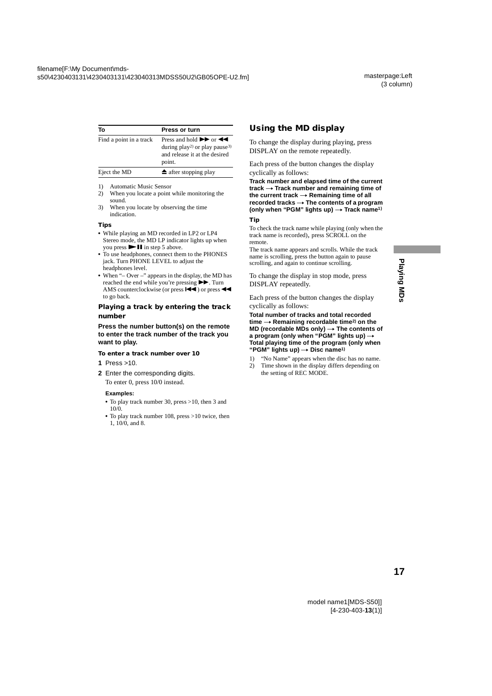<span id="page-16-0"></span>

| To                      | Press or turn                                                                                                                                                    |
|-------------------------|------------------------------------------------------------------------------------------------------------------------------------------------------------------|
| Find a point in a track | Press and hold $\blacktriangleright$ or $\blacktriangleleft$<br>during play <sup>2)</sup> or play pause <sup>3)</sup><br>and release it at the desired<br>point. |
| Eject the MD            | $\triangle$ after stopping play                                                                                                                                  |

- 1) Automatic Music Sensor
- 2) When you locate a point while monitoring the sound.
- 3) When you locate by observing the time indication.

#### **Tips**

- **•** While playing an MD recorded in LP2 or LP4 Stereo mode, the MD LP indicator lights up when you press  $\blacktriangleright$  II in step 5 above.
- **•** To use headphones, connect them to the PHONES jack. Turn PHONE LEVEL to adjust the headphones level.
- When "– Over –" appears in the display, the MD has reached the end while you're pressing  $\blacktriangleright$ . Turn AMS counterclockwise (or press  $\blacktriangleleft$ ) or press  $\blacktriangleleft$ to go back.

#### **Playing a track by entering the track number**

**Press the number button(s) on the remote to enter the track number of the track you want to play.**

#### **To enter a track number over 10**

- **1** Press >10.
- **2** Enter the corresponding digits. To enter 0, press 10/0 instead.

#### **Examples:**

- **•** To play track number 30, press >10, then 3 and 10/0.
- **•** To play track number 108, press >10 twice, then 1, 10/0, and 8.

## **Using the MD display**

To change the display during playing, press DISPLAY on the remote repeatedly.

Each press of the button changes the display cyclically as follows:

**Track number and elapsed time of the current**  $\text{track} \rightarrow \text{Track number}$  and remaining time of the current track  $\rightarrow$  Remaining time of all  $reordered tracks \rightarrow The contents of a program$  $($ only when "PGM" lights up)  $\rightarrow$  Track name<sup>1)</sup>

#### **Tip**

To check the track name while playing (only when the track name is recorded), press SCROLL on the remote.

The track name appears and scrolls. While the track name is scrolling, press the button again to pause scrolling, and again to continue scrolling.

To change the display in stop mode, press DISPLAY repeatedly.

Each press of the button changes the display cyclically as follows:

#### **Total number of tracks and total recorded**  $time \rightarrow$  Remaining recordable time<sup>2</sup>) on the  $MD$  (recordable MDs only)  $\rightarrow$  The contents of a program (only when "PGM" lights up)  $\rightarrow$ **Total playing time of the program (only when** " $PGM"$  lights up)  $\rightarrow$  Disc name<sup>1)</sup>

- 1) "No Name" appears when the disc has no name.
- 2) Time shown in the display differs depending on the setting of REC MODE.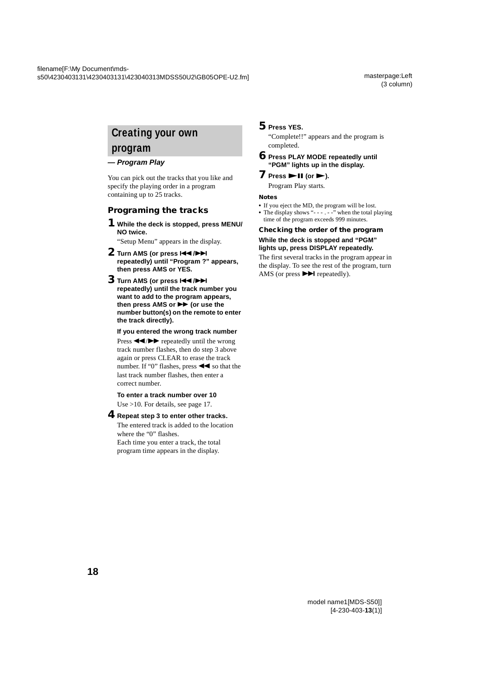## <span id="page-17-0"></span>**Creating your own program**

### **— Program Play**

You can pick out the tracks that you like and specify the playing order in a program containing up to 25 tracks.

## **Programing the tracks**

**1 While the deck is stopped, press MENU/ NO twice.**

"Setup Menu" appears in the display.

- **2** Turn AMS (or press  $\left|\frac{4}{\left|\mathbf{a}\right|}\right|$ **repeatedly) until "Program ?" appears, then press AMS or YES.**
- **3** Turn AMS (or press  $\left|\frac{4}{\sqrt{2}}\right|$ **repeatedly) until the track number you want to add to the program appears,** then press AMS or  $\blacktriangleright$  (or use the **number button(s) on the remote to enter the track directly).**

#### **If you entered the wrong track number**

Press  $\blacktriangleleft$  / $\blacktriangleright$  repeatedly until the wrong track number flashes, then do step 3 above again or press CLEAR to erase the track number. If "0" flashes, press  $\blacktriangleleft$  so that the last track number flashes, then enter a correct number.

#### **To enter a track number over 10**

Use >10. For details, see [page 17](#page-16-0).

#### **4 Repeat step 3 to enter other tracks.**

The entered track is added to the location where the "0" flashes.

Each time you enter a track, the total program time appears in the display.

## **5 Press YES.**

"Complete!!" appears and the program is completed.

#### **6 Press PLAY MODE repeatedly until "PGM" lights up in the display.**

### **7** Press  $\blacktriangleright$  **II** (or  $\blacktriangleright$ ).

Program Play starts.

#### **Notes**

- **•** If you eject the MD, the program will be lost.
- The display shows "---.<sup>-</sup> --" when the total playing time of the program exceeds 999 minutes.

#### **Checking the order of the program While the deck is stopped and "PGM" lights up, press DISPLAY repeatedly.**

The first several tracks in the program appear in the display. To see the rest of the program, turn AMS (or press  $\blacktriangleright$  repeatedly).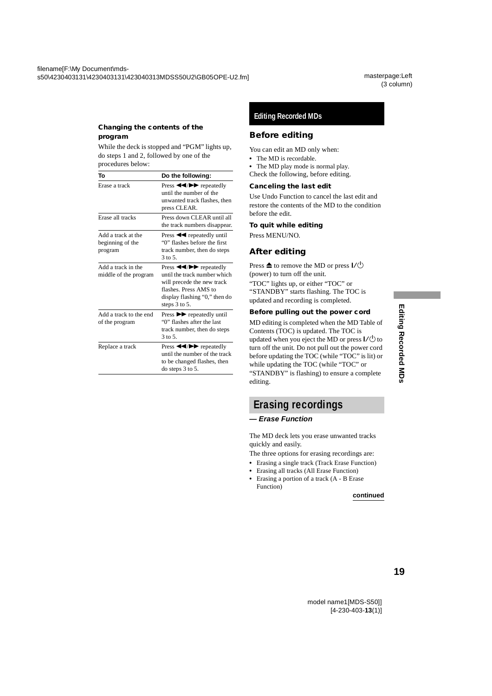#### <span id="page-18-0"></span>**Changing the contents of the program**

While the deck is stopped and "PGM" lights up, do steps 1 and 2, followed by one of the procedures below:

| Тο                                                | Do the following:                                                                                                                                                                                                                         |
|---------------------------------------------------|-------------------------------------------------------------------------------------------------------------------------------------------------------------------------------------------------------------------------------------------|
| Erase a track                                     | Press $\blacktriangleleft$ / $\blacktriangleright$ repeatedly<br>until the number of the<br>unwanted track flashes, then<br>press CLEAR.                                                                                                  |
| Erase all tracks                                  | Press down CLEAR until all<br>the track numbers disappear.                                                                                                                                                                                |
| Add a track at the<br>beginning of the<br>program | Press $\blacktriangleleft$ repeatedly until<br>"0" flashes before the first<br>track number, then do steps<br>$3$ to $5$ .                                                                                                                |
| Add a track in the<br>middle of the program       | Press $\blacktriangleleft \blacktriangleleft \blacktriangleright \blacktriangleright$ repeatedly<br>until the track number which<br>will precede the new track<br>flashes, Press AMS to<br>display flashing "0," then do<br>steps 3 to 5. |
| Add a track to the end<br>of the program          | Press $\blacktriangleright$ repeatedly until<br>"0" flashes after the last<br>track number, then do steps<br>$3$ to $5$ .                                                                                                                 |
| Replace a track                                   | Press $\blacktriangleleft$ / $\blacktriangleright$ repeatedly<br>until the number of the track<br>to be changed flashes, then<br>do steps $3$ to $5$ .                                                                                    |

## **Editing Recorded MDs**

## **Before editing**

You can edit an MD only when:

- **•** The MD is recordable.
- **•** The MD play mode is normal play.

Check the following, before editing.

### **Canceling the last edit**

Use Undo Function to cancel the last edit and restore the contents of the MD to the condition before the edit.

### **To quit while editing**

Press MENU/NO.

## **After editing**

Press  $\triangleq$  to remove the MD or press  $\frac{1}{\binom{1}{2}}$ (power) to turn off the unit. "TOC" lights up, or either "TOC" or "STANDBY" starts flashing. The TOC is updated and recording is completed.

## **Before pulling out the power cord**

MD editing is completed when the MD Table of Contents (TOC) is updated. The TOC is updated when you eject the MD or press  $\frac{1}{\sqrt{2}}$  to turn off the unit. Do not pull out the power cord before updating the TOC (while "TOC" is lit) or while updating the TOC (while "TOC" or "STANDBY" is flashing) to ensure a complete editing.

## **Erasing recordings**

## **— Erase Function**

The MD deck lets you erase unwanted tracks quickly and easily.

The three options for erasing recordings are:

- **•** Erasing a single track (Track Erase Function)
- **•** Erasing all tracks (All Erase Function)
- **•** Erasing a portion of a track (A B Erase Function)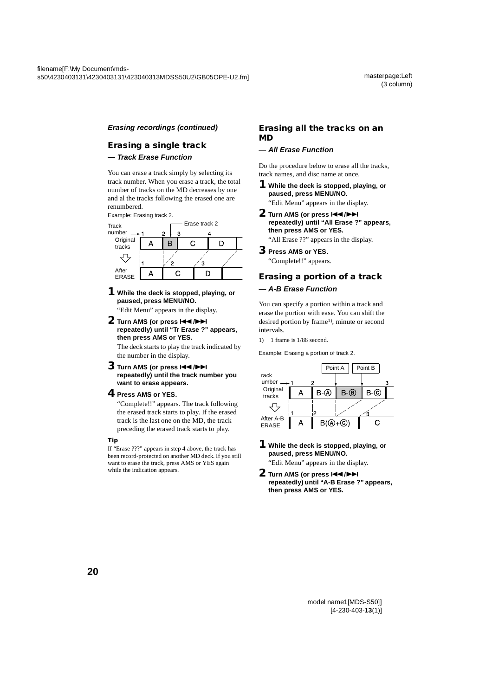### <span id="page-19-0"></span>**Erasing recordings (continued)**

## **Erasing a single track**

### **— Track Erase Function**

You can erase a track simply by selecting its track number. When you erase a track, the total number of tracks on the MD decreases by one and al the tracks following the erased one are renumbered.

Example: Erasing track 2.



**1 While the deck is stopped, playing, or paused, press MENU/NO.**

"Edit Menu" appears in the display.

**2** Turn AMS (or press  $\leftarrow$  />> **repeatedly) until "Tr Erase ?" appears, then press AMS or YES.**

The deck starts to play the track indicated by the number in the display.

**3** Turn AMS (or press  $\leftarrow$  />> **repeatedly) until the track number you want to erase appears.**

#### **4 Press AMS or YES.**

"Complete!!" appears. The track following the erased track starts to play. If the erased track is the last one on the MD, the track preceding the erased track starts to play.

#### **Tip**

If "Erase ???" appears in step 4 above, the track has been record-protected on another MD deck. If you still want to erase the track, press AMS or YES again while the indication appears.

## **Erasing all the tracks on an MD**

## **— All Erase Function**

Do the procedure below to erase all the tracks, track names, and disc name at once.

**1 While the deck is stopped, playing, or paused, press MENU/NO.**

"Edit Menu" appears in the display.

**2** Turn AMS (or press  $\leftarrow$  />> **repeatedly) until "All Erase ?" appears, then press AMS or YES.**

"All Erase ??" appears in the display.

## **3 Press AMS or YES.**

"Complete!!" appears.

## **Erasing a portion of a track — A-B Erase Function**

You can specify a portion within a track and erase the portion with ease. You can shift the desired portion by frame<sup>1</sup>), minute or second intervals.

1) 1 frame is 1/86 second.

Example: Erasing a portion of track 2.



#### **1 While the deck is stopped, playing, or paused, press MENU/NO.**

"Edit Menu" appears in the display.

**2** Turn AMS (or press  $\left|\frac{4}{\sqrt{2}}\right|$ **repeatedly) until "A-B Erase ?" appears, then press AMS or YES.**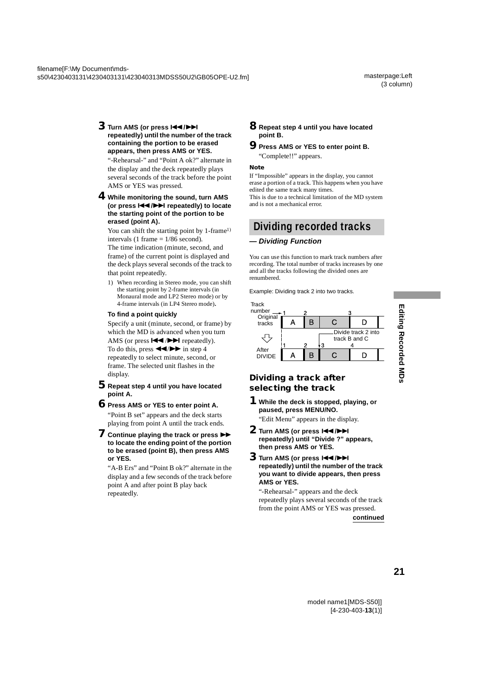#### <span id="page-20-0"></span>**3** Turn AMS (or press  $\left|\frac{4}{\left|\mathbf{a}\right|}\right|$ **repeatedly) until the number of the track containing the portion to be erased appears, then press AMS or YES.**

"-Rehearsal-" and "Point A ok?" alternate in the display and the deck repeatedly plays several seconds of the track before the point AMS or YES was pressed.

#### **4 While monitoring the sound, turn AMS (or press**.**/**>**repeatedly) to locate the starting point of the portion to be erased (point A).**

You can shift the starting point by 1-frame<sup>1)</sup> intervals  $(1 \text{ frame} = 1/86 \text{ second})$ . The time indication (minute, second, and frame) of the current point is displayed and the deck plays several seconds of the track to that point repeatedly.

1) When recording in Stereo mode, you can shift the starting point by 2-frame intervals (in Monaural mode and LP2 Stereo mode) or by 4-frame intervals (in LP4 Stereo mode).

#### **To find a point quickly**

Specify a unit (minute, second, or frame) by which the MD is advanced when you turn AMS (or press  $\blacktriangleright$   $\blacktriangleright$   $\blacktriangleright$  repeatedly). To do this, press  $\blacktriangleleft$  / $\blacktriangleright$  in step 4 repeatedly to select minute, second, or frame. The selected unit flashes in the display.

- **5 Repeat step 4 until you have located point A.**
- **6 Press AMS or YES to enter point A.**

"Point B set" appears and the deck starts playing from point A until the track ends.

**7** Continue playing the track or press  $\blacktriangleright\blacktriangleright$ **to locate the ending point of the portion to be erased (point B), then press AMS or YES.**

"A-B Ers" and "Point B ok?" alternate in the display and a few seconds of the track before point A and after point B play back repeatedly.

#### **8 Repeat step 4 until you have located point B.**

#### **9 Press AMS or YES to enter point B.**

"Complete!!" appears.

#### **Note**

If "Impossible" appears in the display, you cannot erase a portion of a track. This happens when you have edited the same track many times.

This is due to a technical limitation of the MD system and is not a mechanical error.

## **Dividing recorded tracks**

### **— Dividing Function**

You can use this function to mark track numbers after recording. The total number of tracks increases by one and all the tracks following the divided ones are renumbered.

Example: Dividing track 2 into two tracks.



### **Dividing a track after selecting the track**

**1 While the deck is stopped, playing, or paused, press MENU/NO.**

"Edit Menu" appears in the display.

**2** Turn AMS (or press  $\leftarrow$  />> **repeatedly) until "Divide ?" appears, then press AMS or YES.**

#### **3** Turn AMS (or press  $\left|\frac{4}{\sqrt{2}}\right|$ **repeatedly) until the number of the track you want to divide appears, then press AMS or YES.**

"-Rehearsal-" appears and the deck repeatedly plays several seconds of the track from the point AMS or YES was pressed.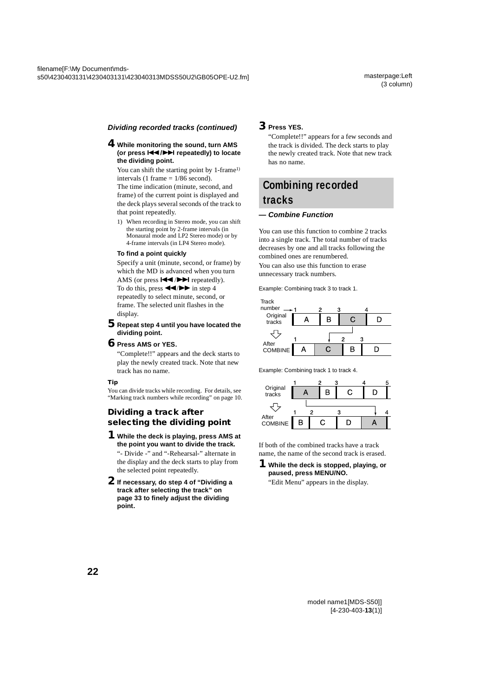## <span id="page-21-0"></span>**Dividing recorded tracks (continued)**

#### **4 While monitoring the sound, turn AMS (or press**.**/**>**repeatedly) to locate the dividing point.**

You can shift the starting point by 1-frame<sup>1)</sup> intervals  $(1 \text{ frame} = 1/86 \text{ second})$ .

The time indication (minute, second, and frame) of the current point is displayed and the deck plays several seconds of the track to that point repeatedly.

1) When recording in Stereo mode, you can shift the starting point by 2-frame intervals (in Monaural mode and LP2 Stereo mode) or by 4-frame intervals (in LP4 Stereo mode).

#### **To find a point quickly**

Specify a unit (minute, second, or frame) by which the MD is advanced when you turn AMS (or press  $\blacktriangleright$   $\blacktriangleright$   $\blacktriangleright$  repeatedly). To do this, press  $\blacktriangleleft \blacktriangleleft / \blacktriangleright \blacktriangleright$  in step 4 repeatedly to select minute, second, or frame. The selected unit flashes in the display.

**5 Repeat step 4 until you have located the dividing point.**

#### **6 Press AMS or YES.**

"Complete!!" appears and the deck starts to play the newly created track. Note that new track has no name.

#### **Tip**

You can divide tracks while recording. For details, [see](#page-9-0) ["Marking track numbers while recording"](#page-9-0) on page 10.

## **Dividing a track after selecting the dividing point**

**1 While the deck is playing, press AMS at the point you want to divide the track.**

"- Divide -" and "-Rehearsal-" alternate in the display and the deck starts to play from the selected point repeatedly.

**2 If necessary, do step 4 of "Dividing a track after selecting the track" on page 33 to finely adjust the dividing point.**

## **3 Press YES.**

"Complete!!" appears for a few seconds and the track is divided. The deck starts to play the newly created track. Note that new track has no name.

## **Combining recorded tracks**

#### **— Combine Function**

You can use this function to combine 2 tracks into a single track. The total number of tracks decreases by one and all tracks following the combined ones are renumbered.

You can also use this function to erase unnecessary track numbers.

Example: Combining track 3 to track 1.



Example: Combining track 1 to track 4.



If both of the combined tracks have a track name, the name of the second track is erased.

#### **1 While the deck is stopped, playing, or paused, press MENU/NO.**

"Edit Menu" appears in the display.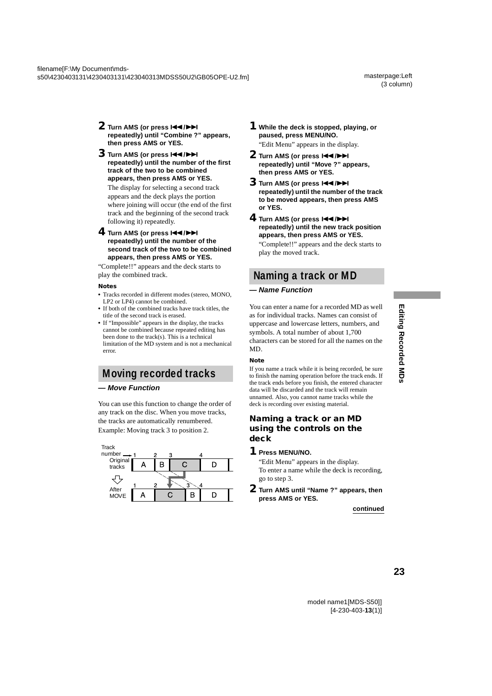- <span id="page-22-0"></span>**2** Turn AMS (or press  $\leftarrow$  />> **repeatedly) until "Combine ?" appears, then press AMS or YES.**
- **3** Turn AMS (or press  $\left|\frac{4}{\left|\mathbf{a}\right|}\right|$ **repeatedly) until the number of the first track of the two to be combined appears, then press AMS or YES.**

The display for selecting a second track appears and the deck plays the portion where joining will occur (the end of the first track and the beginning of the second track following it) repeatedly.

**4** Turn AMS (or press  $\left|\frac{4}{\sqrt{2}}\right|$ **repeatedly) until the number of the second track of the two to be combined appears, then press AMS or YES.**

"Complete!!" appears and the deck starts to play the combined track.

#### **Notes**

- **•** Tracks recorded in different modes (stereo, MONO, LP2 or LP4) cannot be combined.
- **•** If both of the combined tracks have track titles, the title of the second track is erased.
- **•** If "Impossible" appears in the display, the tracks cannot be combined because repeated editing has been done to the track(s). This is a technical limitation of the MD system and is not a mechanical error.

## **Moving recorded tracks**

#### **— Move Function**

You can use this function to change the order of any track on the disc. When you move tracks, the tracks are automatically renumbered. Example: Moving track 3 to position 2.



**1 While the deck is stopped, playing, or paused, press MENU/NO.**

"Edit Menu" appears in the display.

- **2** Turn AMS (or press  $\left|\frac{4}{\left|\mathbf{a}\right|}\right|$ **repeatedly) until "Move ?" appears, then press AMS or YES.**
- **3** Turn AMS (or press  $\leftarrow$  />> **repeatedly) until the number of the track to be moved appears, then press AMS or YES.**

#### **4** Turn AMS (or press  $\leftarrow$  />> **repeatedly) until the new track position appears, then press AMS or YES.**

"Complete!!" appears and the deck starts to play the moved track.

## **Naming a track or MD**

#### **— Name Function**

You can enter a name for a recorded MD as well as for individual tracks. Names can consist of uppercase and lowercase letters, numbers, and symbols. A total number of about 1,700 characters can be stored for all the names on the MD.

#### **Note**

If you name a track while it is being recorded, be sure to finish the naming operation before the track ends. If the track ends before you finish, the entered character data will be discarded and the track will remain unnamed. Also, you cannot name tracks while the deck is recording over existing material.

### **Naming a track or an MD using the controls on the deck**

#### **1 Press MENU/NO.**

"Edit Menu" appears in the display. To enter a name while the deck is recording, go to step 3.

**2 Turn AMS until "Name ?" appears, then press AMS or YES.**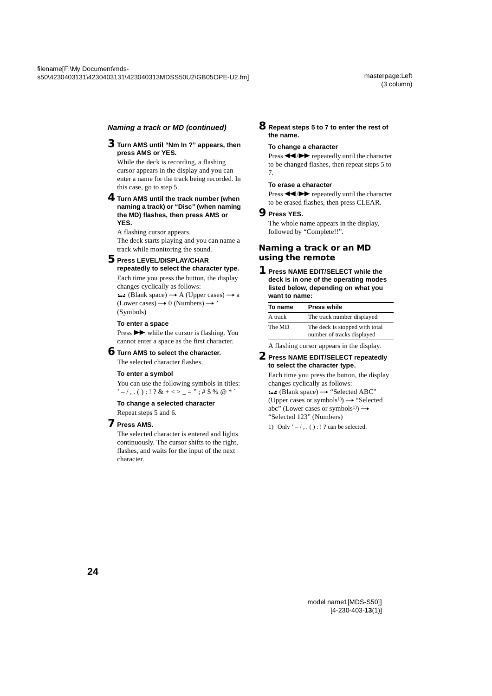### <span id="page-23-0"></span>**Naming a track or MD (continued)**

#### **3 Turn AMS until "Nm In ?" appears, then press AMS or YES.**

While the deck is recording, a flashing cursor appears in the display and you can enter a name for the track being recorded. In this case, go to step 5.

#### **4 Turn AMS until the track number (when naming a track) or "Disc" (when naming the MD) flashes, then press AMS or YES.**

A flashing cursor appears.

The deck starts playing and you can name a track while monitoring the sound.

#### **5 Press LEVEL/DISPLAY/CHAR repeatedly to select the character type.**

Each time you press the button, the display changes cyclically as follows:

**Ind** (Blank space)  $\rightarrow$  A (Upper cases)  $\rightarrow$  a (Lower cases)  $\rightarrow$  0 (Numbers)  $\rightarrow$  ' (Symbols)

#### **To enter a space**

Press  $\blacktriangleright$  while the cursor is flashing. You cannot enter a space as the first character.

#### **6 Turn AMS to select the character.**

The selected character flashes.

#### **To enter a symbol**

You can use the following symbols in titles:  $' - /$ ,.():!?& + < > \_ = ";# \$ % @ \* `

#### **To change a selected character**

Repeat steps 5 and 6.

### **7 Press AMS.**

The selected character is entered and lights continuously. The cursor shifts to the right, flashes, and waits for the input of the next character.

#### **8 Repeat steps 5 to 7 to enter the rest of the name.**

#### **To change a character**

Press  $\blacktriangleleft$   $\blacktriangleright$  repeatedly until the character to be changed flashes, then repeat steps 5 to 7.

#### **To erase a character**

Press  $\blacktriangleleft$  / $\blacktriangleright$  repeatedly until the character to be erased flashes, then press CLEAR.

### **9 Press YES.**

The whole name appears in the display, followed by "Complete!!".

### **Naming a track or an MD using the remote**

#### **1 Press NAME EDIT/SELECT while the deck is in one of the operating modes listed below, depending on what you want to name:**

| To name | <b>Press while</b>                                           |
|---------|--------------------------------------------------------------|
| A track | The track number displayed                                   |
| The MD  | The deck is stopped with total<br>number of tracks displayed |

A flashing cursor appears in the display.

#### **2 Press NAME EDIT/SELECT repeatedly to select the character type.**

Each time you press the button, the display changes cyclically as follows:

**In (Blank space)**  $\rightarrow$  "Selected ABC" (Upper cases or symbols<sup>1)</sup>)  $\rightarrow$  "Selected" abc" (Lower cases or symbols<sup>1)</sup>)  $\rightarrow$ "Selected 123" (Numbers)

1) Only  $\prime$  –  $/$ , . ( ) : ! ? can be selected.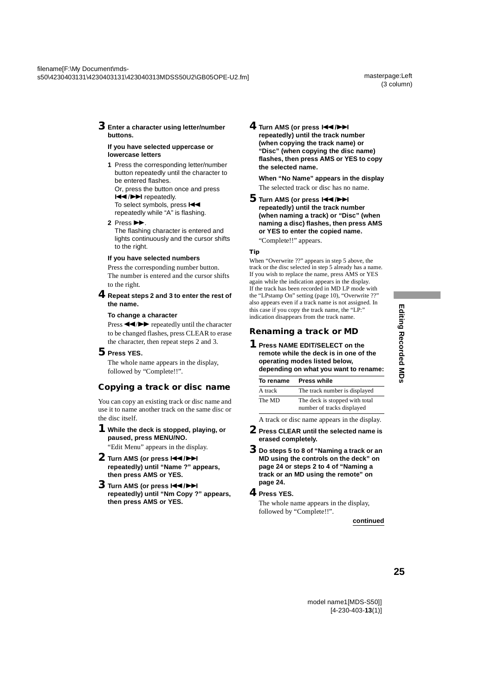#### <span id="page-24-0"></span>**3 Enter a character using letter/number buttons.**

#### **If you have selected uppercase or lowercase letters**

**1** Press the corresponding letter/number button repeatedly until the character to be entered flashes.

Or, press the button once and press  $H$  repeatedly. To select symbols, press  $H \blacktriangleleft$ repeatedly while "A" is flashing.

#### 2 Press $\rightharpoonup$ .

The flashing character is entered and lights continuously and the cursor shifts to the right.

#### **If you have selected numbers**

Press the corresponding number button. The number is entered and the cursor shifts to the right.

#### **4 Repeat steps 2 and 3 to enter the rest of the name.**

#### **To change a character**

Press  $\blacktriangleleft$ / $\blacktriangleright$  repeatedly until the character to be changed flashes, press CLEAR to erase the character, then repeat steps 2 and 3.

## **5 Press YES.**

The whole name appears in the display, followed by "Complete!!".

## **Copying a track or disc name**

You can copy an existing track or disc name and use it to name another track on the same disc or the disc itself.

**1 While the deck is stopped, playing, or paused, press MENU/NO.**

"Edit Menu" appears in the display.

- **2** Turn AMS (or press  $\left|\frac{4}{\left|\mathbf{a}\right|}\right|$ **repeatedly) until "Name ?" appears, then press AMS or YES.**
- **3** Turn AMS (or press  $\left|\frac{4}{\sqrt{2}}\right|$ **repeatedly) until "Nm Copy ?" appears, then press AMS or YES.**

#### **4** Turn AMS (or press  $\leftarrow$  />> **repeatedly) until the track number (when copying the track name) or "Disc" (when copying the disc name) flashes, then press AMS or YES to copy the selected name.**

**When "No Name" appears in the display** The selected track or disc has no name.

**5** Turn AMS (or press  $\leftarrow$  />> **repeatedly) until the track number (when naming a track) or "Disc" (when naming a disc) flashes, then press AMS or YES to enter the copied name.**

"Complete!!" appears.

#### **Tip**

When "Overwrite ??" appears in step 5 above, the track or the disc selected in step 5 already has a name. If you wish to replace the name, press AMS or YES again while the indication appears in the display. If the track has been recorded in MD LP mode with the "LPstamp On" setting (page 10), "Overwrite ??" also appears even if a track name is not assigned. In this case if you copy the track name, the "LP:" indication disappears from the track name.

## **Renaming a track or MD**

**1 Press NAME EDIT/SELECT on the remote while the deck is in one of the operating modes listed below, depending on what you want to rename:**

| To rename | <b>Press while</b>                                           |
|-----------|--------------------------------------------------------------|
| A track   | The track number is displayed                                |
| The MD    | The deck is stopped with total<br>number of tracks displayed |

A track or disc name appears in the display.

- **2 Press CLEAR until the selected name is erased completely.**
- **3 Do steps 5 to 8 of "Naming a track or an MD using the controls on the deck" on [page 24](#page-23-0) or steps 2 to 4 of "Naming a track or an MD using the remote" on [page 24](#page-23-0).**

#### **4 Press YES.**

The whole name appears in the display, followed by "Complete!!".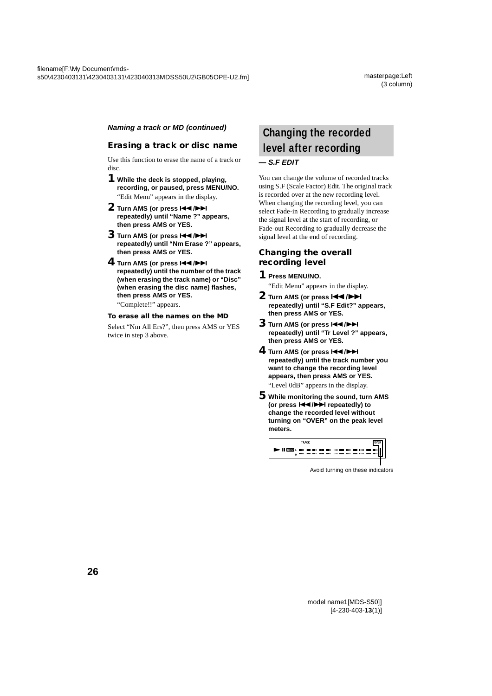## <span id="page-25-0"></span>**Erasing a track or disc name**

Use this function to erase the name of a track or disc.

- **1 While the deck is stopped, playing, recording, or paused, press MENU/NO.** "Edit Menu" appears in the display.
- **2** Turn AMS (or press  $\left|\frac{4}{\sqrt{2}}\right|$ **repeatedly) until "Name ?" appears, then press AMS or YES.**
- **3** Turn AMS (or press  $\leftarrow$  />> **repeatedly) until "Nm Erase ?" appears, then press AMS or YES.**
- **4** Turn AMS (or press  $\left|\frac{4}{\sqrt{2}}\right|$ **repeatedly) until the number of the track (when erasing the track name) or "Disc" (when erasing the disc name) flashes, then press AMS or YES.**

"Complete!!" appears.

#### **To erase all the names on the MD**

Select "Nm All Ers?", then press AMS or YES twice in step 3 above.

## **Changing the recorded level after recording**

### **— S.F EDIT**

You can change the volume of recorded tracks using S.F (Scale Factor) Edit. The original track is recorded over at the new recording level. When changing the recording level, you can select Fade-in Recording to gradually increase the signal level at the start of recording, or Fade-out Recording to gradually decrease the signal level at the end of recording.

## **Changing the overall recording level**

### **1 Press MENU/NO.**

"Edit Menu" appears in the display.

- **2** Turn AMS (or press  $\left|\frac{4}{\sqrt{2}}\right|$ **repeatedly) until "S.F Edit?" appears, then press AMS or YES.**
- **3** Turn AMS (or press  $\leftarrow$  />> **repeatedly) until "Tr Level ?" appears, then press AMS or YES.**
- **4** Turn AMS (or press  $\left|\frac{4}{\sqrt{2}}\right|$ **repeatedly) until the track number you want to change the recording level appears, then press AMS or YES.**

"Level 0dB" appears in the display.

**5 While monitoring the sound, turn AMS (or press**.**/**>**repeatedly) to change the recorded level without turning on "OVER" on the peak level meters.**



Avoid turning on these indicators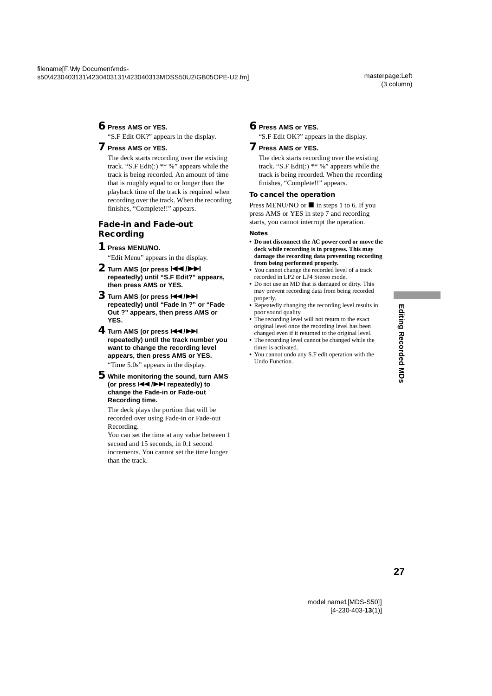## **6 Press AMS or YES.**

"S.F Edit OK?" appears in the display.

## **7 Press AMS or YES.**

The deck starts recording over the existing track. "S.F Edit(:) \*\* %" appears while the track is being recorded. An amount of time that is roughly equal to or longer than the playback time of the track is required when recording over the track. When the recording finishes, "Complete!!" appears.

## **Fade-in and Fade-out Recording**

#### **1 Press MENU/NO.**

"Edit Menu" appears in the display.

- **2** Turn AMS (or press  $\leftarrow$  />> **repeatedly) until "S.F Edit?" appears, then press AMS or YES.**
- **3** Turn AMS (or press  $\left|\frac{4}{\left|\mathbf{a}\right|}\right|$ **repeatedly) until "Fade In ?" or "Fade Out ?" appears, then press AMS or YES.**
- **4** Turn AMS (or press  $\leftarrow$  />> **repeatedly) until the track number you want to change the recording level appears, then press AMS or YES.**

"Time 5.0s" appears in the display.

**5 While monitoring the sound, turn AMS (or press**.**/**>**repeatedly) to change the Fade-in or Fade-out Recording time.**

The deck plays the portion that will be recorded over using Fade-in or Fade-out Recording.

You can set the time at any value between 1 second and 15 seconds, in 0.1 second increments. You cannot set the time longer than the track.

## **6 Press AMS or YES.**

"S.F Edit OK?" appears in the display.

### **7 Press AMS or YES.**

The deck starts recording over the existing track. "S.F Edit(:)  $**\%$ " appears while the track is being recorded. When the recording finishes, "Complete!!" appears.

#### **To cancel the operation**

Press MENU/NO or  $\blacksquare$  in steps 1 to 6. If you press AMS or YES in step 7 and recording starts, you cannot interrupt the operation.

#### **Notes**

- **• Do not disconnect the AC power cord or move the deck while recording is in progress. This may damage the recording data preventing recording from being performed properly.**
- **•** You cannot change the recorded level of a track recorded in LP2 or LP4 Stereo mode.
- **•** Do not use an MD that is damaged or dirty. This may prevent recording data from being recorded properly.
- **•** Repeatedly changing the recording level results in poor sound quality.
- **•** The recording level will not return to the exact original level once the recording level has been changed even if it returned to the original level.
- **•** The recording level cannot be changed while the timer is activated.
- **•** You cannot undo any S.F edit operation with the Undo Function.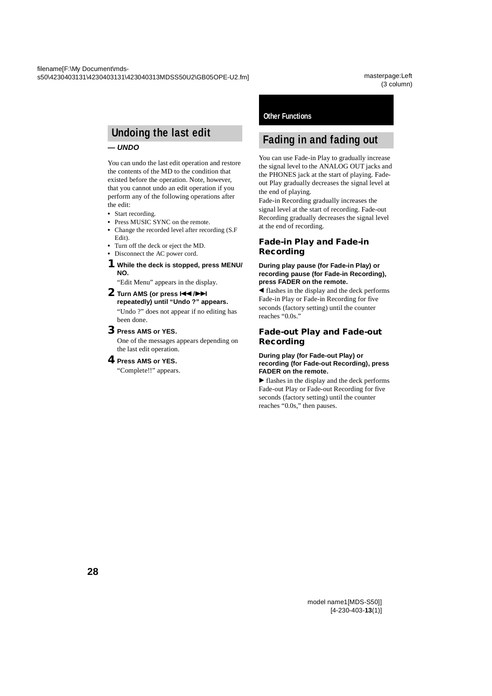## <span id="page-27-0"></span>**Undoing the last edit**

### **— UNDO**

You can undo the last edit operation and restore the contents of the MD to the condition that existed before the operation. Note, however, that you cannot undo an edit operation if you perform any of the following operations after the edit:

- **•** Start recording.
- **•** Press MUSIC SYNC on the remote.
- **•** Change the recorded level after recording (S.F Edit).
- **•** Turn off the deck or eject the MD.
- **•** Disconnect the AC power cord.
- **1 While the deck is stopped, press MENU/ NO.**

"Edit Menu" appears in the display.

**2** Turn AMS (or press  $\leftarrow$  />> **repeatedly) until "Undo ?" appears.**

"Undo ?" does not appear if no editing has been done.

## **3 Press AMS or YES.**

One of the messages appears depending on the last edit operation.

### **4 Press AMS or YES.**

"Complete!!" appears.

### **Other Functions**

## **Fading in and fading out**

You can use Fade-in Play to gradually increase the signal level to the ANALOG OUT jacks and the PHONES jack at the start of playing. Fadeout Play gradually decreases the signal level at the end of playing.

Fade-in Recording gradually increases the signal level at the start of recording. Fade-out Recording gradually decreases the signal level at the end of recording.

## **Fade-in Play and Fade-in Recording**

#### **During play pause (for Fade-in Play) or recording pause (for Fade-in Recording), press FADER on the remote.**

b flashes in the display and the deck performs Fade-in Play or Fade-in Recording for five seconds (factory setting) until the counter reaches "0.0s."

## **Fade-out Play and Fade-out Recording**

#### **During play (for Fade-out Play) or recording (for Fade-out Recording), press FADER on the remote.**

 $\blacktriangleright$  flashes in the display and the deck performs Fade-out Play or Fade-out Recording for five seconds (factory setting) until the counter reaches "0.0s," then pauses.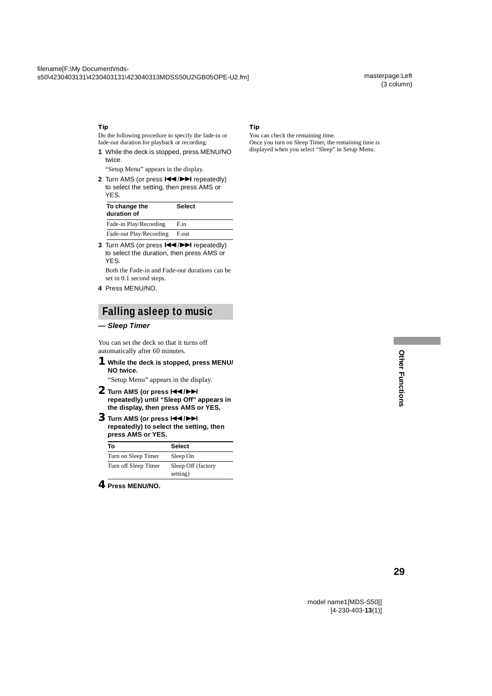#### <span id="page-28-0"></span>**Tip**

Do the following procedure to specify the fade-in or fade-out duration for playback or recording.

**1** While the deck is stopped, press MENU/NO twice.

"Setup Menu" appears in the display.

**2** Turn AMS (or press  $I \blacktriangleleft / P \blacktriangleright I$  repeatedly) to select the setting, then press AMS or YES.

| To change the<br>duration of | <b>Select</b> |
|------------------------------|---------------|
| Fade-in Play/Recording       | F.in          |
| Fade-out Play/Recording      | F.out         |

**3** Turn AMS (or press  $\leftarrow$  />> repeatedly) to select the duration, then press AMS or YES.

Both the Fade-in and Fade-out durations can be set in 0.1 second steps.

**4** Press MENU/NO.

## **Falling asleep to music**

#### **— Sleep Timer**

You can set the deck so that it turns off automatically after 60 minutes.

**1 While the deck is stopped, press MENU/ NO twice.**

"Setup Menu" appears in the display.

- **2** Turn AMS (or press  $\left|\frac{4}{\left|\mathbf{a}\right|}\right|$ **repeatedly) until "Sleep Off" appears in the display, then press AMS or YES.**
- **3** Turn AMS (or press  $\leftarrow$  />> **repeatedly) to select the setting, then press AMS or YES.**

| То                   | <b>Select</b>                  |
|----------------------|--------------------------------|
| Turn on Sleep Timer  | Sleep On                       |
| Turn off Sleep Timer | Sleep Off (factory<br>setting) |

## **4 Press MENU/NO.**

#### **Tip**

You can check the remaining time.

Once you turn on Sleep Timer, the remaining time is displayed when you select "Sleep" in Setup Menu.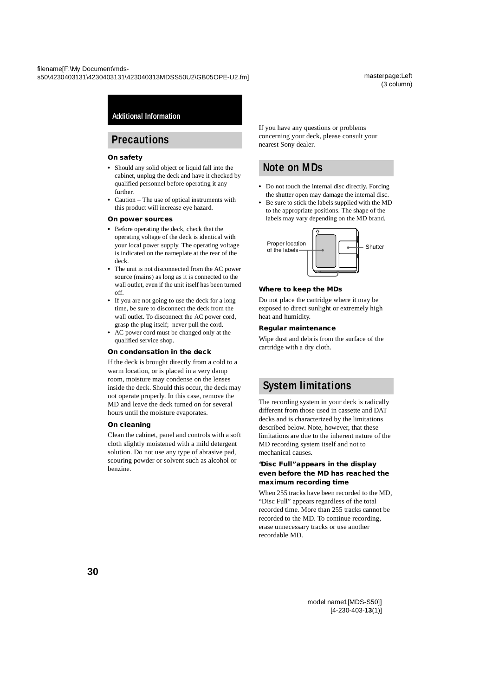## <span id="page-29-0"></span>**Precautions**

#### **On safety**

- **•** Should any solid object or liquid fall into the cabinet, unplug the deck and have it checked by qualified personnel before operating it any further.
- **•** Caution The use of optical instruments with this product will increase eye hazard.

#### **On power sources**

- **•** Before operating the deck, check that the operating voltage of the deck is identical with your local power supply. The operating voltage is indicated on the nameplate at the rear of the deck.
- **•** The unit is not disconnected from the AC power source (mains) as long as it is connected to the wall outlet, even if the unit itself has been turned off.
- **•** If you are not going to use the deck for a long time, be sure to disconnect the deck from the wall outlet. To disconnect the AC power cord, grasp the plug itself; never pull the cord.
- **•** AC power cord must be changed only at the qualified service shop.

#### **On condensation in the deck**

If the deck is brought directly from a cold to a warm location, or is placed in a very damp room, moisture may condense on the lenses inside the deck. Should this occur, the deck may not operate properly. In this case, remove the MD and leave the deck turned on for several hours until the moisture evaporates.

#### **On cleaning**

Clean the cabinet, panel and controls with a soft cloth slightly moistened with a mild detergent solution. Do not use any type of abrasive pad, scouring powder or solvent such as alcohol or benzine.

If you have any questions or problems concerning your deck, please consult your nearest Sony dealer.

## **Note on MDs**

- Do not touch the internal disc directly. Forcing the shutter open may damage the internal disc.
- **•** Be sure to stick the labels supplied with the MD to the appropriate positions. The shape of the labels may vary depending on the MD brand.



#### **Where to keep the MDs**

Do not place the cartridge where it may be exposed to direct sunlight or extremely high heat and humidity.

#### **Regular maintenance**

Wipe dust and debris from the surface of the cartridge with a dry cloth.

## **System limitations**

The recording system in your deck is radically different from those used in cassette and DAT decks and is characterized by the limitations described below. Note, however, that these limitations are due to the inherent nature of the MD recording system itself and not to mechanical causes.

#### **"Disc Full" appears in the display even before the MD has reached the maximum recording time**

When 255 tracks have been recorded to the MD, "Disc Full" appears regardless of the total recorded time. More than 255 tracks cannot be recorded to the MD. To continue recording, erase unnecessary tracks or use another recordable MD.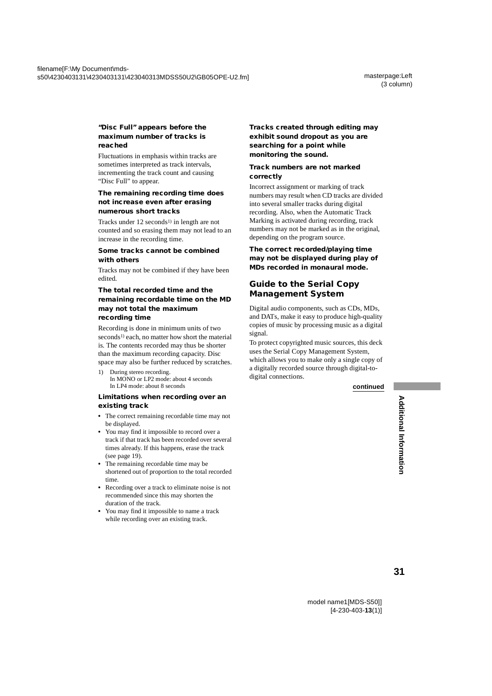#### <span id="page-30-0"></span>**"Disc Full" appears before the maximum number of tracks is reached**

Fluctuations in emphasis within tracks are sometimes interpreted as track intervals, incrementing the track count and causing "Disc Full" to appear.

#### **The remaining recording time does not increase even after erasing numerous short tracks**

Tracks under  $12$  seconds<sup>1)</sup> in length are not counted and so erasing them may not lead to an increase in the recording time.

#### **Some tracks cannot be combined with others**

Tracks may not be combined if they have been edited.

#### **The total recorded time and the remaining recordable time on the MD may not total the maximum recording time**

Recording is done in minimum units of two seconds<sup>1)</sup> each, no matter how short the material is. The contents recorded may thus be shorter than the maximum recording capacity. Disc space may also be further reduced by scratches.

1) During stereo recording. In MONO or LP2 mode: about 4 seconds In LP4 mode: about 8 seconds

#### **Limitations when recording over an existing track**

- **•** The correct remaining recordable time may not be displayed.
- **•** You may find it impossible to record over a track if that track has been recorded over several times already. If this happens, erase the track (see [page 19](#page-18-0)).
- **•** The remaining recordable time may be shortened out of proportion to the total recorded time.
- **•** Recording over a track to eliminate noise is not recommended since this may shorten the duration of the track.
- **•** You may find it impossible to name a track while recording over an existing track.

#### **Tracks created through editing may exhibit sound dropout as you are searching for a point while monitoring the sound.**

#### **Track numbers are not marked correctly**

Incorrect assignment or marking of track numbers may result when CD tracks are divided into several smaller tracks during digital recording. Also, when the Automatic Track Marking is activated during recording, track numbers may not be marked as in the original, depending on the program source.

**The correct recorded/playing time may not be displayed during play of MDs recorded in monaural mode.**

## **Guide to the Serial Copy Management System**

Digital audio components, such as CDs, MDs, and DATs, make it easy to produce high-quality copies of music by processing music as a digital signal.

To protect copyrighted music sources, this deck uses the Serial Copy Management System, which allows you to make only a single copy of a digitally recorded source through digital-todigital connections.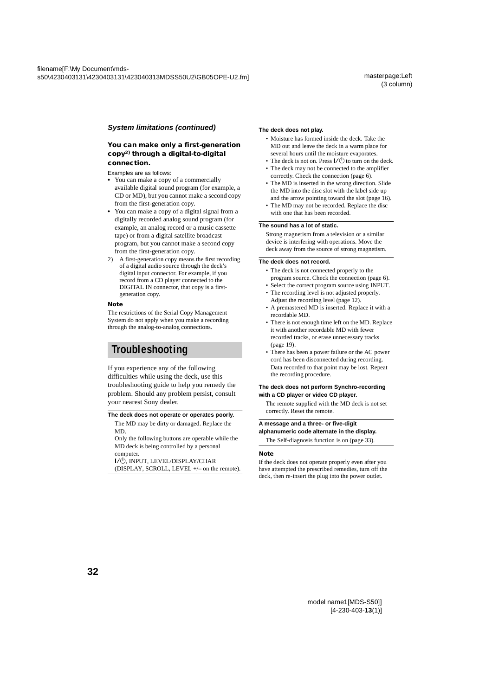#### <span id="page-31-0"></span>**System limitations (continued)**

#### **You can make only a first-generation copy2) through a digital-to-digital connection.**

Examples are as follows:

- **•** You can make a copy of a commercially available digital sound program (for example, a CD or MD), but you cannot make a second copy from the first-generation copy.
- **•** You can make a copy of a digital signal from a digitally recorded analog sound program (for example, an analog record or a music cassette tape) or from a digital satellite broadcast program, but you cannot make a second copy from the first-generation copy.
- 2) A first-generation copy means the first recording of a digital audio source through the deck's digital input connector. For example, if you record from a CD player connected to the DIGITAL IN connector, that copy is a firstgeneration copy.

#### **Note**

The restrictions of the Serial Copy Management System do not apply when you make a recording through the analog-to-analog connections.

## **Troubleshooting**

If you experience any of the following difficulties while using the deck, use this troubleshooting guide to help you remedy the problem. Should any problem persist, consult your nearest Sony dealer.

#### **The deck does not operate or operates poorly.**

The MD may be dirty or damaged. Replace the MD.

Only the following buttons are operable while the MD deck is being controlled by a personal computer.

?/1, INPUT, LEVEL/DISPLAY/CHAR (DISPLAY, SCROLL, LEVEL +/– on the remote).

#### **The deck does not play.**

- Moisture has formed inside the deck. Take the MD out and leave the deck in a warm place for several hours until the moisture evaporates.
- The deck is not on. Press  $\mathsf{I}/\mathsf{U}$  to turn on the deck.
- The deck may not be connected to the amplifier correctly. Check the connection [\(page 6\)](#page-5-0).
- The MD is inserted in the wrong direction. Slide the MD into the disc slot with the label side up and the arrow pointing toward the slot [\(page 16\)](#page-15-0).
- The MD may not be recorded. Replace the disc with one that has been recorded.

#### **The sound has a lot of static.**

Strong magnetism from a television or a similar device is interfering with operations. Move the deck away from the source of strong magnetism.

#### **The deck does not record.**

- The deck is not connected properly to the program source. Check the connection [\(page 6\)](#page-5-0).
- Select the correct program source using INPUT.
- The recording level is not adjusted properly. Adjust the recording level [\(page 12\)](#page-11-0).
- A premastered MD is inserted. Replace it with a recordable MD.
- There is not enough time left on the MD. Replace it with another recordable MD with fewer recorded tracks, or erase unnecessary tracks [\(page 19\).](#page-18-0)
- There has been a power failure or the AC power cord has been disconnected during recording. Data recorded to that point may be lost. Repeat the recording procedure.

#### **The deck does not perform Synchro-recording with a CD player or video CD player.**

The remote supplied with the MD deck is not set correctly. Reset the remote.

#### **A message and a three- or five-digit alphanumeric code alternate in the display.**

The Self-diagnosis function is o[n \(page 33\)](#page-32-0).

#### **Note**

If the deck does not operate properly even after you have attempted the prescribed remedies, turn off the deck, then re-insert the plug into the power outlet.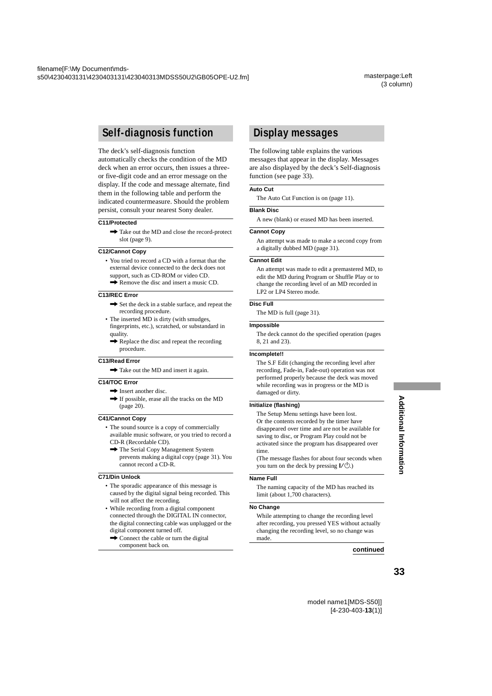## <span id="page-32-0"></span>**Self-diagnosis function Display messages**

#### The deck's self-diagnosis function

automatically checks the condition of the MD deck when an error occurs, then issues a threeor five-digit code and an error message on the display. If the code and message alternate, find them in the following table and perform the indicated countermeasure. Should the problem persist, consult your nearest Sony dealer.

#### **C11/Protected**

 $\rightarrow$  Take out the MD and close the record-protect slot [\(page 9\)](#page-8-0).

#### **C12/Cannot Copy**

• You tried to record a CD with a format that the external device connected to the deck does not support, such as CD-ROM or video CD.  $\rightarrow$  Remove the disc and insert a music CD.

#### **C13/REC Error**

- $\rightarrow$  Set the deck in a stable surface, and repeat the recording procedure.
- The inserted MD is dirty (with smudges, fingerprints, etc.), scratched, or substandard in quality.
	- $\rightarrow$  Replace the disc and repeat the recording procedure.

#### **C13/Read Error**

 $\rightarrow$  Take out the MD and insert it again.

#### **C14/TOC Error**

- $\rightarrow$  Insert another disc.
- $\rightarrow$  If possible, erase all the tracks on the MD [\(page 20\)](#page-19-0).

#### **C41/Cannot Copy**

- The sound source is a copy of commercially available music software, or you tried to record a CD-R (Recordable CD).
	- $\rightarrow$  The Serial Copy Management System prevents making a digital copy [\(page 31\).](#page-30-0) You cannot record a CD-R.

#### **C71/Din Unlock**

- The sporadic appearance of this message is caused by the digital signal being recorded. This will not affect the recording.
- While recording from a digital component connected through the DIGITAL IN connector, the digital connecting cable was unplugged or the digital component turned off.
	- $\rightarrow$  Connect the cable or turn the digital component back on.

The following table explains the various messages that appear in the display. Messages are also displayed by the deck's Self-diagnosis function (see page 33).

#### **Auto Cut**

The Auto Cut Function is on [\(page 11\)](#page-10-0).

#### **Blank Disc**

A new (blank) or erased MD has been inserted.

#### **Cannot Copy**

An attempt was made to make a second copy from a digitally dubbed MD [\(page 31\).](#page-30-0)

#### **Cannot Edit**

An attempt was made to edit a premastered MD, to edit the MD during Program or Shuffle Play or to change the recording level of an MD recorded in LP2 or LP4 Stereo mode.

#### **Disc Full**

The MD is full [\(page 31\)](#page-30-0).

#### **Impossible**

The deck cannot do the specified operation (pages [8](#page-7-0), [21](#page-20-0) and [23\)](#page-22-0).

#### **Incomplete!!**

The S.F Edit (changing the recording level after recording, Fade-in, Fade-out) operation was not performed properly because the deck was moved while recording was in progress or the MD is damaged or dirty.

#### **Initialize (flashing)**

The Setup Menu settings have been lost. Or the contents recorded by the timer have disappeared over time and are not be available for saving to disc, or Program Play could not be activated since the program has disappeared over time.

(The message flashes for about four seconds when you turn on the deck by pressing  $\mathsf{I}/\langle \cdot \rangle$ .)

#### **Name Full**

The naming capacity of the MD has reached its limit (about 1,700 characters).

#### **No Change**

While attempting to change the recording level after recording, you pressed YES without actually changing the recording level, so no change was made.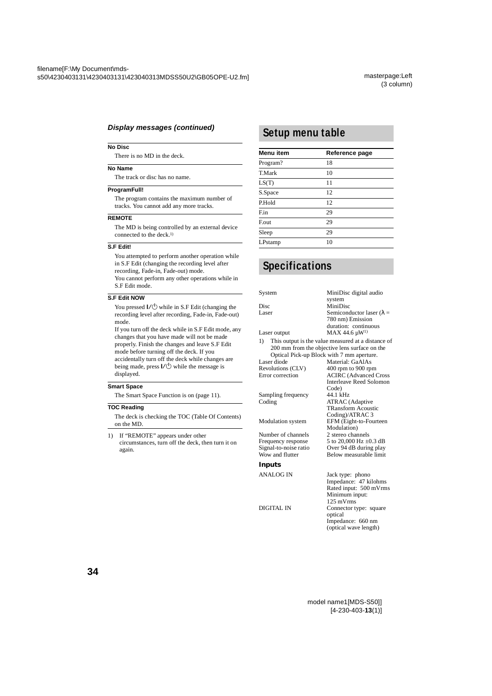#### <span id="page-33-0"></span>**Display messages (continued)**

#### **No Disc**

There is no MD in the deck.

#### **No Name**

The track or disc has no name.

#### **ProgramFull!**

The program contains the maximum number of tracks. You cannot add any more tracks.

#### **REMOTE**

The MD is being controlled by an external device connected to the deck.1)

#### **S.F Edit!**

You attempted to perform another operation while in S.F Edit (changing the recording level after recording, Fade-in, Fade-out) mode.

You cannot perform any other operations while in S.F Edit mode.

#### **S.F Edit NOW**

You pressed  $\mathsf{I}/\mathsf{U}$  while in S.F Edit (changing the recording level after recording, Fade-in, Fade-out) mode.

If you turn off the deck while in S.F Edit mode, any changes that you have made will not be made properly. Finish the changes and leave S.F Edit mode before turning off the deck. If you accidentally turn off the deck while changes are being made, press  $\mathsf{I}/\mathsf{U}$  while the message is displayed.

#### **Smart Space**

The Smart Space Function is on [\(page 11\)](#page-10-0).

#### **TOC Reading**

The deck is checking the TOC (Table Of Contents) on the MD.

1) If "REMOTE" appears under other circumstances, turn off the deck, then turn it on again.

## **Setup menu table**

| Menu item     | Reference page |
|---------------|----------------|
| Program?      | 18             |
| T.Mark        | 10             |
| LS(T)         | 11             |
| S.Space       | 12             |
| P.Hold        | 12             |
| <b>F.in</b>   | 29             |
| <b>F</b> .out | 29             |
| Sleep         | 29             |
| LPstamp       | 10             |

## **Specifications**

| System                                                   | MiniDisc digital audio                        |
|----------------------------------------------------------|-----------------------------------------------|
|                                                          | system                                        |
| Disc                                                     | MiniDisc                                      |
| Laser                                                    | Semiconductor laser ( $\lambda$ =             |
|                                                          | 780 nm) Emission                              |
|                                                          | duration: continuous                          |
| Laser output                                             | MAX 44.6 uW <sup>1)</sup>                     |
| This output is the value measured at a distance of<br>1) |                                               |
|                                                          | 200 mm from the objective lens surface on the |
| Optical Pick-up Block with 7 mm aperture.                |                                               |
| Laser diode                                              | Material: GaAlAs                              |
| Revolutions (CLV)                                        | 400 rpm to 900 rpm                            |
| Error correction                                         | <b>ACIRC</b> (Advanced Cross                  |
|                                                          | Interleave Reed Solomon                       |
|                                                          | Code)                                         |
| Sampling frequency                                       | 44.1 kHz                                      |
| Coding                                                   | <b>ATRAC</b> (Adaptive                        |
|                                                          | <b>TRansform Acoustic</b>                     |
|                                                          | Coding)/ATRAC 3                               |
| <b>Modulation</b> system                                 | EFM (Eight-to-Fourteen                        |
|                                                          | Modulation)                                   |
| Number of channels                                       | 2 stereo channels                             |
| Frequency response                                       | 5 to 20,000 Hz $\pm$ 0.3 dB                   |
| Signal-to-noise ratio                                    | Over 94 dB during play                        |
| Wow and flutter                                          | Below measurable limit                        |
| Inputs                                                   |                                               |
|                                                          |                                               |
| <b>ANALOGIN</b>                                          | Jack type: phono                              |
|                                                          | Impedance: 47 kilohms                         |
|                                                          | Rated input: 500 mVrms                        |
|                                                          | Minimum input:                                |
|                                                          | 125 mVrms                                     |
| DIGITAL IN                                               | Connector type: square                        |
|                                                          | optical                                       |
|                                                          | Impedance: 660 nm                             |
|                                                          | (optical wave length)                         |
|                                                          |                                               |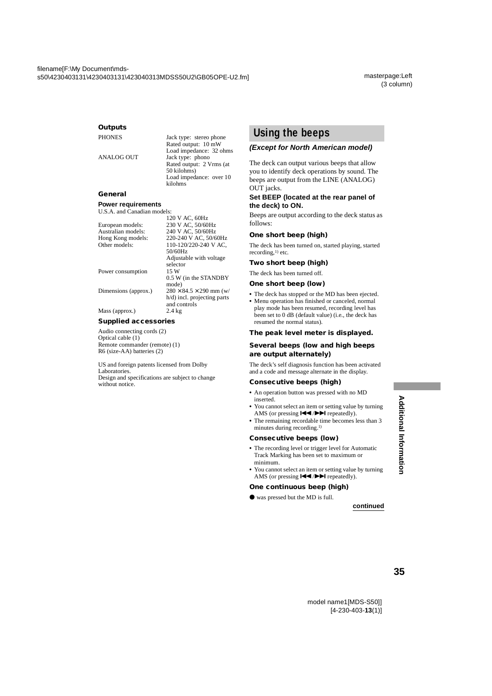<span id="page-34-0"></span>PHONES Jack type: stereo phone Rated output: 10 mW Load impedance: 32 ohms ANALOG OUT Jack type: phono Rated output: 2 Vrms (at 50 kilohms) Load impedance: over 10 kilohms

#### **General**

#### **Power requirements**

U.S.A. and Canadian models:  $120 - 120$   $-20$ 

|                      | 120 V AC. 00112                     |
|----------------------|-------------------------------------|
| European models:     | 230 V AC, 50/60Hz                   |
| Australian models:   | 240 V AC, 50/60Hz                   |
| Hong Kong models:    | 220-240 V AC, 50/60Hz               |
| Other models:        | 110-120/220-240 V AC,               |
|                      | 50/60Hz                             |
|                      | Adjustable with voltage             |
|                      | selector                            |
| Power consumption    | 15 W                                |
|                      | 0.5 W (in the STANDBY               |
|                      | mode)                               |
| Dimensions (approx.) | $280 \times 84.5 \times 290$ mm (w/ |
|                      | h/d) incl. projecting parts         |
|                      | and controls                        |
| Mass (approx.)       | $2.4$ kg                            |
|                      |                                     |

#### **Supplied accessories**

Audio connecting cords (2) Optical cable (1) Remote commander (remote) (1) R6 (size-AA) batteries (2)

US and foreign patents licensed from Dolby Laboratories. Design and specifications are subject to change without notice.

## **Using the beeps**

#### **(Except for North American model)**

The deck can output various beeps that allow you to identify deck operations by sound. The beeps are output from the LINE (ANALOG) OUT jacks.

#### **Set BEEP (located at the rear panel of the deck) to ON.**

Beeps are output according to the deck status as follows:

#### **One short beep (high)**

The deck has been turned on, started playing, started recording, $1)$  etc.

#### **Two short beep (high)**

The deck has been turned off.

#### **One short beep (low)**

- **•** The deck has stopped or the MD has been ejected.
- **•** Menu operation has finished or canceled, normal play mode has been resumed, recording level has been set to 0 dB (default value) (i.e., the deck has resumed the normal status).

#### **The peak level meter is displayed.**

#### **Several beeps (low and high beeps are output alternately)**

The deck's self diagnosis function has been activated and a code and message alternate in the display.

#### **Consecutive beeps (high)**

- **•** An operation button was pressed with no MD inserted.
- **•** You cannot select an item or setting value by turning AMS (or pressing  $\blacktriangleright$   $\blacktriangleright$   $\blacktriangleright$  repeatedly).
- **•** The remaining recordable time becomes less than 3 minutes during recording.1)

#### **Consecutive beeps (low)**

- **•** The recording level or trigger level for Automatic Track Marking has been set to maximum or minimum.
- **•** You cannot select an item or setting value by turning AMS (or pressing  $\blacktriangleright$   $\blacktriangleright$   $\blacktriangleright$  repeatedly).

#### **One continuous beep (high)**

 $\bullet$  was pressed but the MD is full.